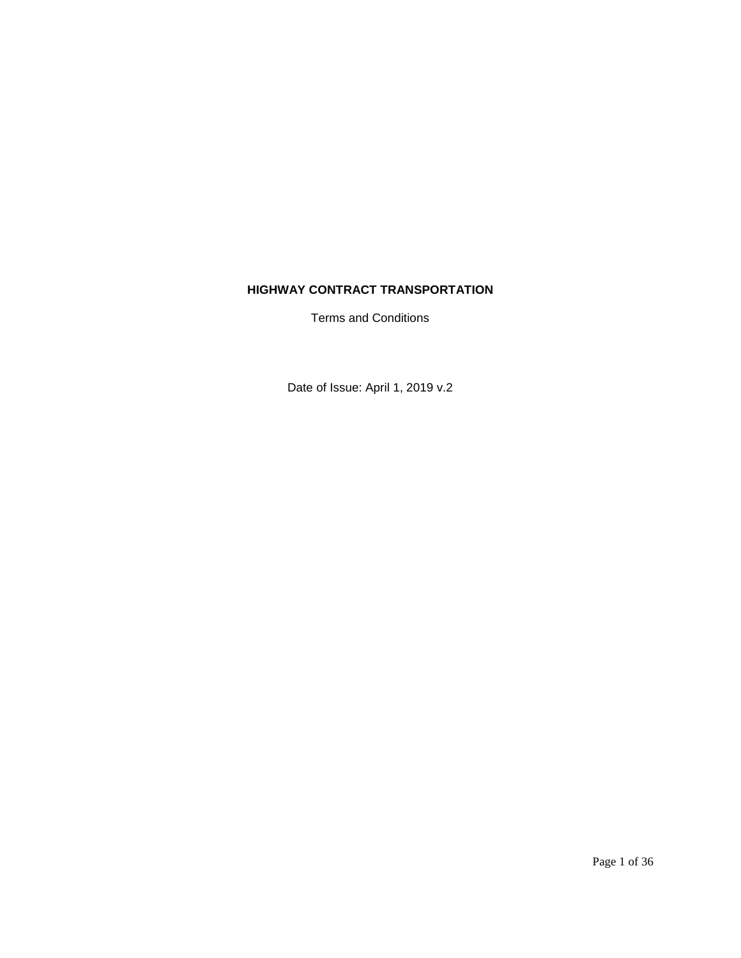# **HIGHWAY CONTRACT TRANSPORTATION**

Terms and Conditions

Date of Issue: April 1, 2019 v.2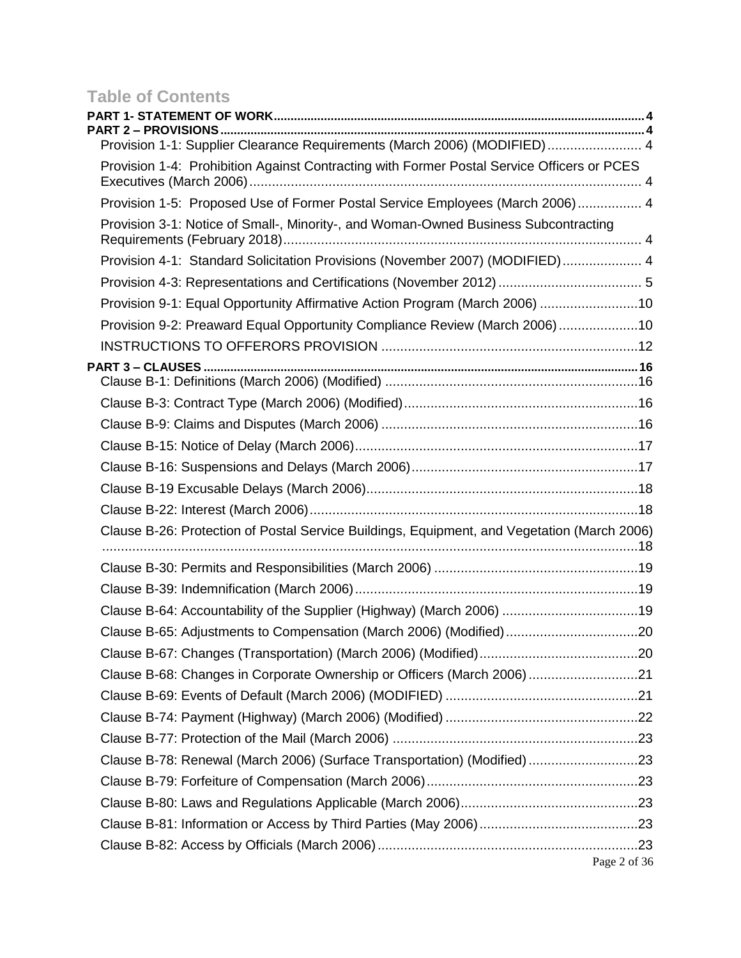# **Table of Contents**

| <b>PART 2 – PROVISIONS.</b>                                                                 |              |
|---------------------------------------------------------------------------------------------|--------------|
| Provision 1-1: Supplier Clearance Requirements (March 2006) (MODIFIED) 4                    |              |
| Provision 1-4: Prohibition Against Contracting with Former Postal Service Officers or PCES  |              |
| Provision 1-5: Proposed Use of Former Postal Service Employees (March 2006) 4               |              |
| Provision 3-1: Notice of Small-, Minority-, and Woman-Owned Business Subcontracting         |              |
| Provision 4-1: Standard Solicitation Provisions (November 2007) (MODIFIED) 4                |              |
|                                                                                             |              |
| Provision 9-1: Equal Opportunity Affirmative Action Program (March 2006) 10                 |              |
| Provision 9-2: Preaward Equal Opportunity Compliance Review (March 2006)10                  |              |
|                                                                                             |              |
|                                                                                             |              |
|                                                                                             |              |
|                                                                                             |              |
|                                                                                             |              |
|                                                                                             |              |
|                                                                                             |              |
|                                                                                             |              |
|                                                                                             |              |
| Clause B-26: Protection of Postal Service Buildings, Equipment, and Vegetation (March 2006) |              |
|                                                                                             |              |
|                                                                                             |              |
| Clause B-64: Accountability of the Supplier (Highway) (March 2006) 19                       |              |
| Clause B-65: Adjustments to Compensation (March 2006) (Modified)20                          |              |
|                                                                                             |              |
| Clause B-68: Changes in Corporate Ownership or Officers (March 2006) 21                     |              |
|                                                                                             |              |
|                                                                                             |              |
|                                                                                             |              |
| Clause B-78: Renewal (March 2006) (Surface Transportation) (Modified) 23                    |              |
|                                                                                             |              |
|                                                                                             |              |
|                                                                                             |              |
|                                                                                             | Page 2 of 36 |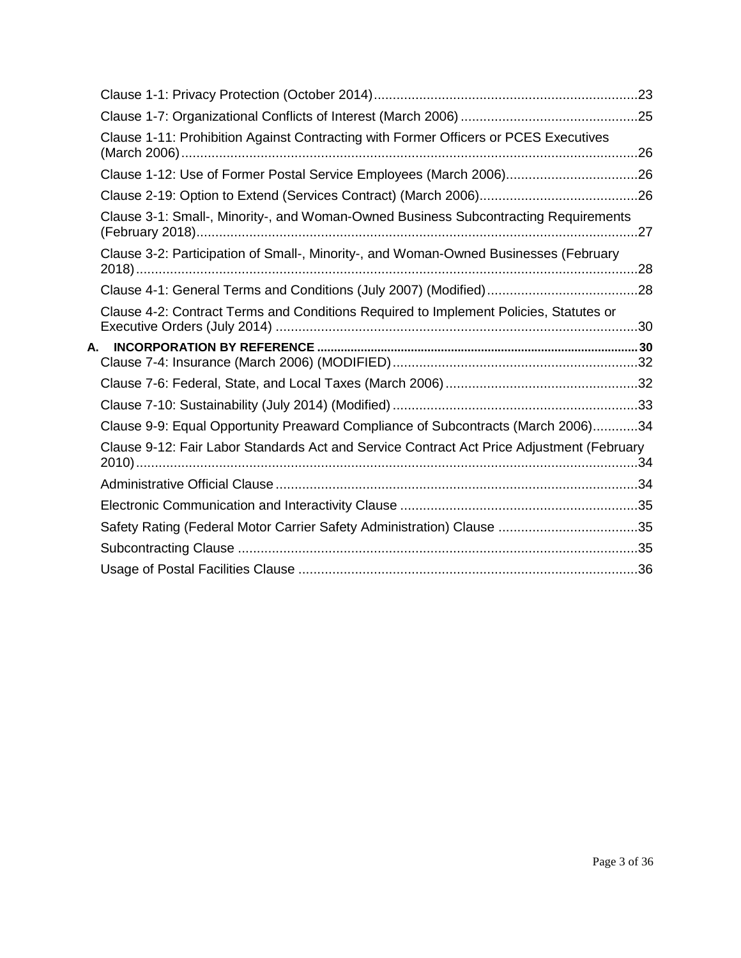|    | Clause 1-11: Prohibition Against Contracting with Former Officers or PCES Executives      |     |
|----|-------------------------------------------------------------------------------------------|-----|
|    |                                                                                           |     |
|    |                                                                                           |     |
|    | Clause 3-1: Small-, Minority-, and Woman-Owned Business Subcontracting Requirements       | .27 |
|    | Clause 3-2: Participation of Small-, Minority-, and Woman-Owned Businesses (February      |     |
|    |                                                                                           |     |
|    | Clause 4-2: Contract Terms and Conditions Required to Implement Policies, Statutes or     |     |
|    |                                                                                           |     |
| А. |                                                                                           |     |
|    |                                                                                           |     |
|    |                                                                                           |     |
|    |                                                                                           |     |
|    | Clause 9-9: Equal Opportunity Preaward Compliance of Subcontracts (March 2006)34          |     |
|    | Clause 9-12: Fair Labor Standards Act and Service Contract Act Price Adjustment (February |     |
|    |                                                                                           |     |
|    |                                                                                           |     |
|    | Safety Rating (Federal Motor Carrier Safety Administration) Clause 35                     |     |
|    |                                                                                           |     |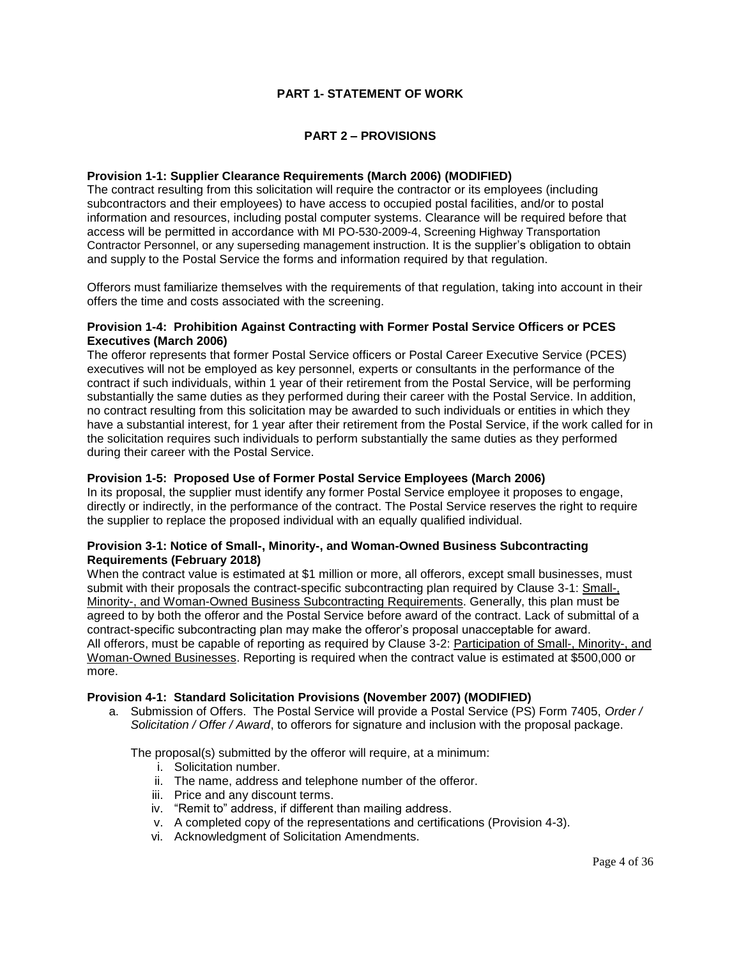# **PART 1- STATEMENT OF WORK**

# **PART 2 – PROVISIONS**

#### <span id="page-3-2"></span><span id="page-3-1"></span><span id="page-3-0"></span>**[Provision 1-1: Supplier Clearance Requirements \(March 2006\)](http://blue.usps.gov/policy/clauses/provision.htm) (MODIFIED)**

The contract resulting from this solicitation will require the contractor or its employees (including subcontractors and their employees) to have access to occupied postal facilities, and/or to postal information and resources, including postal computer systems. Clearance will be required before that access will be permitted in accordance with MI PO-530-2009-4, Screening Highway Transportation Contractor Personnel, or any superseding management instruction. It is the supplier's obligation to obtain and supply to the Postal Service the forms and information required by that regulation.

Offerors must familiarize themselves with the requirements of that regulation, taking into account in their offers the time and costs associated with the screening.

## <span id="page-3-3"></span>**Provision 1-4: Prohibition Against Contracting with Former Postal Service Officers or PCES Executives (March 2006)**

The offeror represents that former Postal Service officers or Postal Career Executive Service (PCES) executives will not be employed as key personnel, experts or consultants in the performance of the contract if such individuals, within 1 year of their retirement from the Postal Service, will be performing substantially the same duties as they performed during their career with the Postal Service. In addition, no contract resulting from this solicitation may be awarded to such individuals or entities in which they have a substantial interest, for 1 year after their retirement from the Postal Service, if the work called for in the solicitation requires such individuals to perform substantially the same duties as they performed during their career with the Postal Service.

#### <span id="page-3-4"></span>**Provision 1-5: Proposed Use of Former Postal Service Employees (March 2006)**

In its proposal, the supplier must identify any former Postal Service employee it proposes to engage, directly or indirectly, in the performance of the contract. The Postal Service reserves the right to require the supplier to replace the proposed individual with an equally qualified individual.

#### <span id="page-3-5"></span>**[Provision 3-1: Notice of Small-, Minority-, and Woman-Owned Business Subcontracting](http://blue.usps.gov/policy/clauses/provision.htm)  [Requirements \(February 2018\)](http://blue.usps.gov/policy/clauses/provision.htm)**

When the contract value is estimated at \$1 million or more, all offerors, except small businesses, must submit with their proposals the contract-specific subcontracting plan required by Clause 3-1: Small-, Minority-, and Woman-Owned Business Subcontracting Requirements. Generally, this plan must be agreed to by both the offeror and the Postal Service before award of the contract. Lack of submittal of a contract-specific subcontracting plan may make the offeror's proposal unacceptable for award. All offerors, must be capable of reporting as required by Clause 3-2: Participation of Small-, Minority-, and Woman-Owned Businesses. Reporting is required when the contract value is estimated at \$500,000 or more.

#### <span id="page-3-6"></span>**Provision 4-1: Standard Solicitation Provisions (November 2007) (MODIFIED)**

a. Submission of Offers. The Postal Service will provide a Postal Service (PS) Form 7405, *Order / Solicitation / Offer / Award*, to offerors for signature and inclusion with the proposal package.

The proposal(s) submitted by the offeror will require, at a minimum:

- i. Solicitation number.
- ii. The name, address and telephone number of the offeror.
- iii. Price and any discount terms.
- iv. "Remit to" address, if different than mailing address.
- v. A completed copy of the representations and certifications (Provision 4-3).
- vi. Acknowledgment of Solicitation Amendments.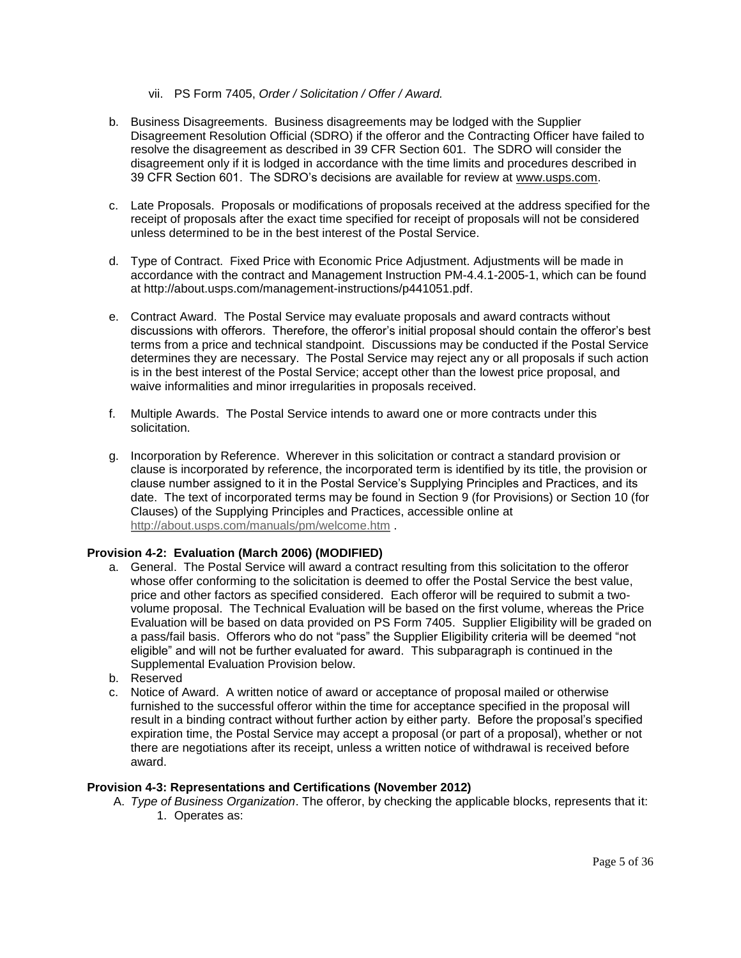- vii. PS Form 7405, *Order / Solicitation / Offer / Award.*
- b. Business Disagreements. Business disagreements may be lodged with the Supplier Disagreement Resolution Official (SDRO) if the offeror and the Contracting Officer have failed to resolve the disagreement as described in 39 CFR Section 601. The SDRO will consider the disagreement only if it is lodged in accordance with the time limits and procedures described in 39 CFR Section 601. The SDRO's decisions are available for review at www.usps.com.
- c. Late Proposals. Proposals or modifications of proposals received at the address specified for the receipt of proposals after the exact time specified for receipt of proposals will not be considered unless determined to be in the best interest of the Postal Service.
- d. Type of Contract. Fixed Price with Economic Price Adjustment. Adjustments will be made in accordance with the contract and Management Instruction PM-4.4.1-2005-1, which can be found at http://about.usps.com/management-instructions/p441051.pdf.
- e. Contract Award. The Postal Service may evaluate proposals and award contracts without discussions with offerors. Therefore, the offeror's initial proposal should contain the offeror's best terms from a price and technical standpoint. Discussions may be conducted if the Postal Service determines they are necessary. The Postal Service may reject any or all proposals if such action is in the best interest of the Postal Service; accept other than the lowest price proposal, and waive informalities and minor irregularities in proposals received.
- f. Multiple Awards. The Postal Service intends to award one or more contracts under this solicitation.
- g. Incorporation by Reference. Wherever in this solicitation or contract a standard provision or clause is incorporated by reference, the incorporated term is identified by its title, the provision or clause number assigned to it in the Postal Service's Supplying Principles and Practices, and its date. The text of incorporated terms may be found in Section 9 (for Provisions) or Section 10 (for Clauses) of the Supplying Principles and Practices, accessible online at <http://about.usps.com/manuals/pm/welcome.htm> .

## **Provision 4-2: Evaluation (March 2006) (MODIFIED)**

- a. General. The Postal Service will award a contract resulting from this solicitation to the offeror whose offer conforming to the solicitation is deemed to offer the Postal Service the best value, price and other factors as specified considered. Each offeror will be required to submit a twovolume proposal. The Technical Evaluation will be based on the first volume, whereas the Price Evaluation will be based on data provided on PS Form 7405. Supplier Eligibility will be graded on a pass/fail basis. Offerors who do not "pass" the Supplier Eligibility criteria will be deemed "not eligible" and will not be further evaluated for award. This subparagraph is continued in the Supplemental Evaluation Provision below.
- b. Reserved
- c. Notice of Award. A written notice of award or acceptance of proposal mailed or otherwise furnished to the successful offeror within the time for acceptance specified in the proposal will result in a binding contract without further action by either party. Before the proposal's specified expiration time, the Postal Service may accept a proposal (or part of a proposal), whether or not there are negotiations after its receipt, unless a written notice of withdrawal is received before award.

### <span id="page-4-0"></span>**[Provision 4-3: Representations and Certifications \(November 2012\)](http://blue.usps.gov/policy/clauses/provision.htm)**

A. *Type of Business Organization*. The offeror, by checking the applicable blocks, represents that it: 1. Operates as: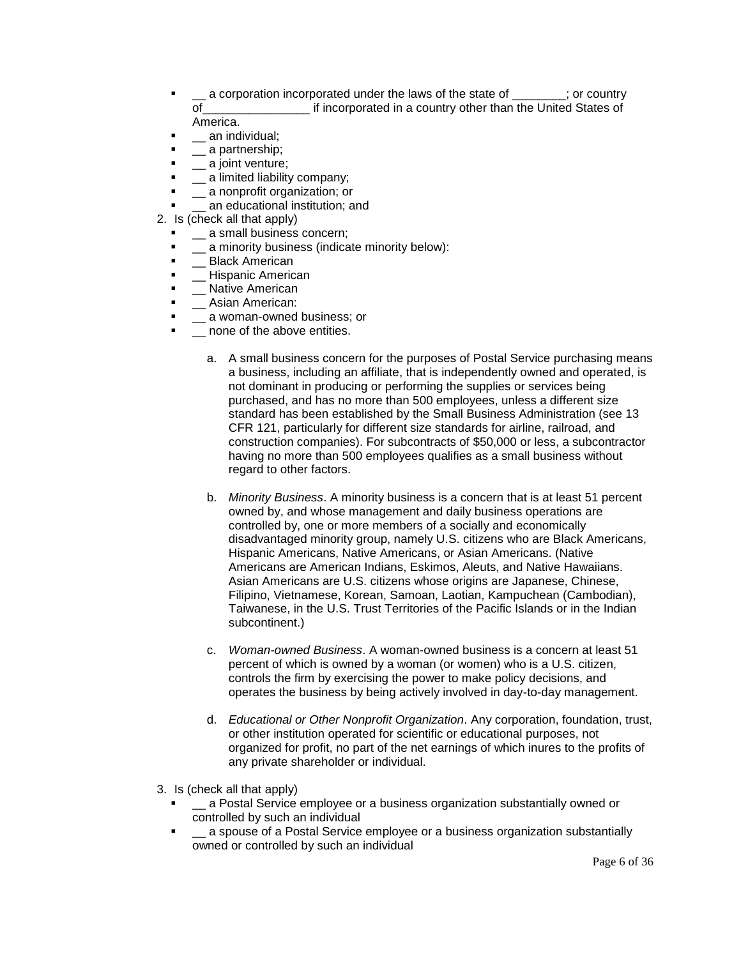- \_\_ a corporation incorporated under the laws of the state of \_\_\_\_\_\_\_\_; or country of the states of the comporated in a country other than the United States of America.
- **The an individual;**
- **q** \_\_ a partnership;
- **-** \_\_ a joint venture:
- **.** \_\_ a limited liability company;
- \_\_ a nonprofit organization; or
- \_\_ an educational institution; and
- 2. Is (check all that apply)
	- \_\_ a small business concern;
	- a minority business (indicate minority below):
	- **■** Black American
	- **EXECUTE:** Hispanic American
	- **-** Native American
	- **Example 3** Asian American:
	- **.** \_\_ a woman-owned business; or
	- \_\_ none of the above entities.
		- a. A small business concern for the purposes of Postal Service purchasing means a business, including an affiliate, that is independently owned and operated, is not dominant in producing or performing the supplies or services being purchased, and has no more than 500 employees, unless a different size standard has been established by the Small Business Administration (see 13 CFR 121, particularly for different size standards for airline, railroad, and construction companies). For subcontracts of \$50,000 or less, a subcontractor having no more than 500 employees qualifies as a small business without regard to other factors.
		- b. *Minority Business*. A minority business is a concern that is at least 51 percent owned by, and whose management and daily business operations are controlled by, one or more members of a socially and economically disadvantaged minority group, namely U.S. citizens who are Black Americans, Hispanic Americans, Native Americans, or Asian Americans. (Native Americans are American Indians, Eskimos, Aleuts, and Native Hawaiians. Asian Americans are U.S. citizens whose origins are Japanese, Chinese, Filipino, Vietnamese, Korean, Samoan, Laotian, Kampuchean (Cambodian), Taiwanese, in the U.S. Trust Territories of the Pacific Islands or in the Indian subcontinent.)
		- c. *Woman-owned Business*. A woman-owned business is a concern at least 51 percent of which is owned by a woman (or women) who is a U.S. citizen, controls the firm by exercising the power to make policy decisions, and operates the business by being actively involved in day-to-day management.
		- d. *Educational or Other Nonprofit Organization*. Any corporation, foundation, trust, or other institution operated for scientific or educational purposes, not organized for profit, no part of the net earnings of which inures to the profits of any private shareholder or individual.
- 3. Is (check all that apply)
	- \_\_ a Postal Service employee or a business organization substantially owned or controlled by such an individual
	- **E** \_\_ a spouse of a Postal Service employee or a business organization substantially owned or controlled by such an individual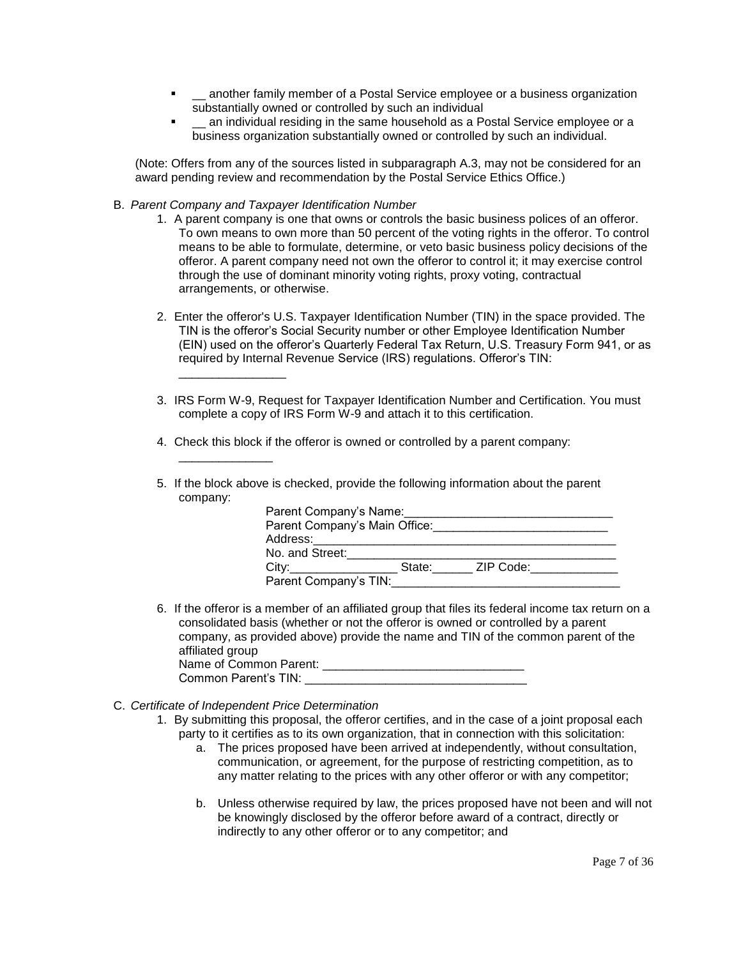- **E** \_\_ another family member of a Postal Service employee or a business organization substantially owned or controlled by such an individual
- \_\_ an individual residing in the same household as a Postal Service employee or a business organization substantially owned or controlled by such an individual.

(Note: Offers from any of the sources listed in subparagraph A.3, may not be considered for an award pending review and recommendation by the Postal Service Ethics Office.)

B. *Parent Company and Taxpayer Identification Number*

\_\_\_\_\_\_\_\_\_\_\_\_\_\_\_\_

\_\_\_\_\_\_\_\_\_\_\_\_\_\_

- 1. A parent company is one that owns or controls the basic business polices of an offeror. To own means to own more than 50 percent of the voting rights in the offeror. To control means to be able to formulate, determine, or veto basic business policy decisions of the offeror. A parent company need not own the offeror to control it; it may exercise control through the use of dominant minority voting rights, proxy voting, contractual arrangements, or otherwise.
- 2. Enter the offeror's U.S. Taxpayer Identification Number (TIN) in the space provided. The TIN is the offeror's Social Security number or other Employee Identification Number (EIN) used on the offeror's Quarterly Federal Tax Return, U.S. Treasury Form 941, or as required by Internal Revenue Service (IRS) regulations. Offeror's TIN:
- 3. IRS Form W-9, Request for Taxpayer Identification Number and Certification. You must complete a copy of IRS Form W-9 and attach it to this certification.
- 4. Check this block if the offeror is owned or controlled by a parent company:
- 5. If the block above is checked, provide the following information about the parent company:

| Parent Company's Name:              |  |                  |
|-------------------------------------|--|------------------|
| Parent Company's Main Office:       |  |                  |
| Address:___________________________ |  |                  |
| No. and Street:                     |  |                  |
| City:                               |  | State: ZIP Code: |
| Parent Company's TIN:               |  |                  |

- 6. If the offeror is a member of an affiliated group that files its federal income tax return on a consolidated basis (whether or not the offeror is owned or controlled by a parent company, as provided above) provide the name and TIN of the common parent of the affiliated group Name of Common Parent: \_\_\_\_\_\_\_\_\_\_\_\_\_\_\_\_\_\_\_\_\_\_\_\_\_\_\_\_\_\_
- Common Parent's TIN:
- C. *Certificate of Independent Price Determination*
	- 1. By submitting this proposal, the offeror certifies, and in the case of a joint proposal each party to it certifies as to its own organization, that in connection with this solicitation:
		- a. The prices proposed have been arrived at independently, without consultation, communication, or agreement, for the purpose of restricting competition, as to any matter relating to the prices with any other offeror or with any competitor;
		- b. Unless otherwise required by law, the prices proposed have not been and will not be knowingly disclosed by the offeror before award of a contract, directly or indirectly to any other offeror or to any competitor; and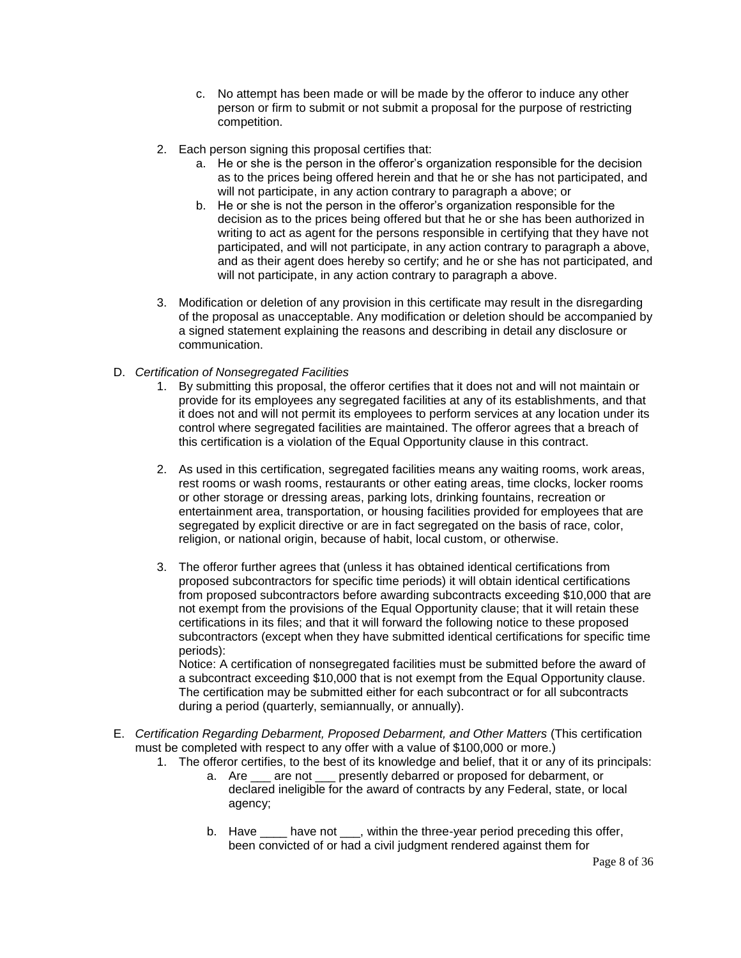- c. No attempt has been made or will be made by the offeror to induce any other person or firm to submit or not submit a proposal for the purpose of restricting competition.
- 2. Each person signing this proposal certifies that:
	- a. He or she is the person in the offeror's organization responsible for the decision as to the prices being offered herein and that he or she has not participated, and will not participate, in any action contrary to paragraph a above; or
	- b. He or she is not the person in the offeror's organization responsible for the decision as to the prices being offered but that he or she has been authorized in writing to act as agent for the persons responsible in certifying that they have not participated, and will not participate, in any action contrary to paragraph a above, and as their agent does hereby so certify; and he or she has not participated, and will not participate, in any action contrary to paragraph a above.
- 3. Modification or deletion of any provision in this certificate may result in the disregarding of the proposal as unacceptable. Any modification or deletion should be accompanied by a signed statement explaining the reasons and describing in detail any disclosure or communication.
- D. *Certification of Nonsegregated Facilities*
	- 1. By submitting this proposal, the offeror certifies that it does not and will not maintain or provide for its employees any segregated facilities at any of its establishments, and that it does not and will not permit its employees to perform services at any location under its control where segregated facilities are maintained. The offeror agrees that a breach of this certification is a violation of the Equal Opportunity clause in this contract.
	- 2. As used in this certification, segregated facilities means any waiting rooms, work areas, rest rooms or wash rooms, restaurants or other eating areas, time clocks, locker rooms or other storage or dressing areas, parking lots, drinking fountains, recreation or entertainment area, transportation, or housing facilities provided for employees that are segregated by explicit directive or are in fact segregated on the basis of race, color, religion, or national origin, because of habit, local custom, or otherwise.
	- 3. The offeror further agrees that (unless it has obtained identical certifications from proposed subcontractors for specific time periods) it will obtain identical certifications from proposed subcontractors before awarding subcontracts exceeding \$10,000 that are not exempt from the provisions of the Equal Opportunity clause; that it will retain these certifications in its files; and that it will forward the following notice to these proposed subcontractors (except when they have submitted identical certifications for specific time periods):

Notice: A certification of nonsegregated facilities must be submitted before the award of a subcontract exceeding \$10,000 that is not exempt from the Equal Opportunity clause. The certification may be submitted either for each subcontract or for all subcontracts during a period (quarterly, semiannually, or annually).

- E. *Certification Regarding Debarment, Proposed Debarment, and Other Matters* (This certification must be completed with respect to any offer with a value of \$100,000 or more.)
	- 1. The offeror certifies, to the best of its knowledge and belief, that it or any of its principals:
		- a. Are \_\_\_ are not \_\_\_ presently debarred or proposed for debarment, or declared ineligible for the award of contracts by any Federal, state, or local agency;
		- b. Have \_\_\_\_ have not \_\_\_, within the three-year period preceding this offer, been convicted of or had a civil judgment rendered against them for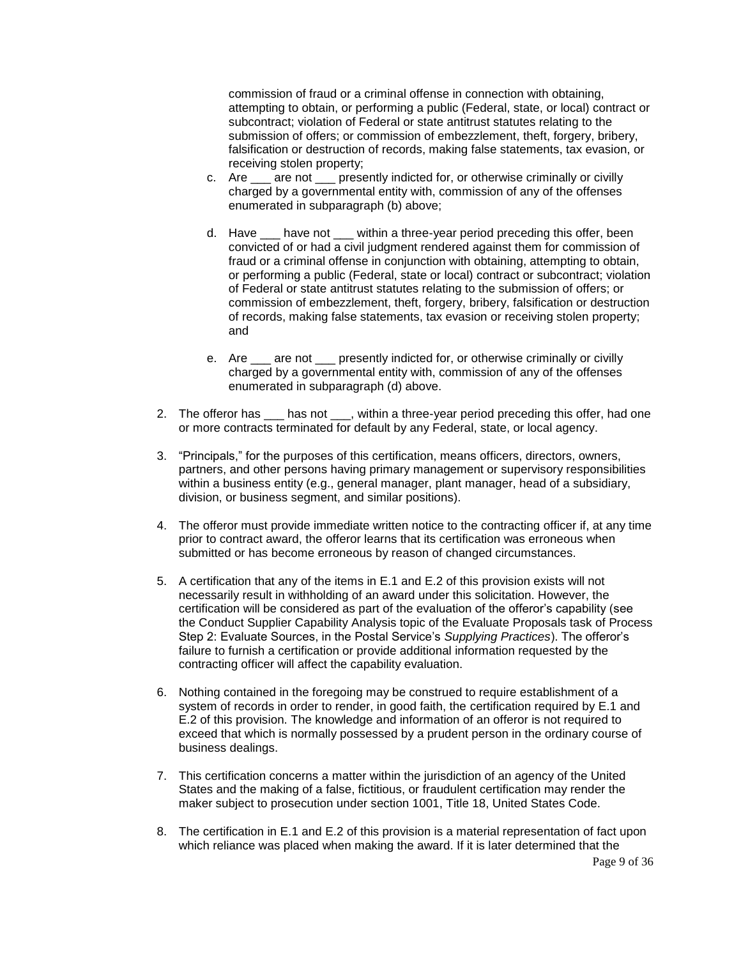commission of fraud or a criminal offense in connection with obtaining, attempting to obtain, or performing a public (Federal, state, or local) contract or subcontract; violation of Federal or state antitrust statutes relating to the submission of offers; or commission of embezzlement, theft, forgery, bribery, falsification or destruction of records, making false statements, tax evasion, or receiving stolen property;

- c. Are \_\_\_ are not \_\_\_ presently indicted for, or otherwise criminally or civilly charged by a governmental entity with, commission of any of the offenses enumerated in subparagraph (b) above;
- d. Have \_\_\_ have not \_\_\_ within a three-year period preceding this offer, been convicted of or had a civil judgment rendered against them for commission of fraud or a criminal offense in conjunction with obtaining, attempting to obtain, or performing a public (Federal, state or local) contract or subcontract; violation of Federal or state antitrust statutes relating to the submission of offers; or commission of embezzlement, theft, forgery, bribery, falsification or destruction of records, making false statements, tax evasion or receiving stolen property; and
- e. Are \_\_\_ are not \_\_\_ presently indicted for, or otherwise criminally or civilly charged by a governmental entity with, commission of any of the offenses enumerated in subparagraph (d) above.
- 2. The offeror has \_\_\_ has not \_\_\_, within a three-year period preceding this offer, had one or more contracts terminated for default by any Federal, state, or local agency.
- 3. "Principals," for the purposes of this certification, means officers, directors, owners, partners, and other persons having primary management or supervisory responsibilities within a business entity (e.g., general manager, plant manager, head of a subsidiary, division, or business segment, and similar positions).
- 4. The offeror must provide immediate written notice to the contracting officer if, at any time prior to contract award, the offeror learns that its certification was erroneous when submitted or has become erroneous by reason of changed circumstances.
- 5. A certification that any of the items in E.1 and E.2 of this provision exists will not necessarily result in withholding of an award under this solicitation. However, the certification will be considered as part of the evaluation of the offeror's capability (see the Conduct Supplier Capability Analysis topic of the Evaluate Proposals task of Process Step 2: Evaluate Sources, in the Postal Service's *Supplying Practices*). The offeror's failure to furnish a certification or provide additional information requested by the contracting officer will affect the capability evaluation.
- 6. Nothing contained in the foregoing may be construed to require establishment of a system of records in order to render, in good faith, the certification required by E.1 and E.2 of this provision. The knowledge and information of an offeror is not required to exceed that which is normally possessed by a prudent person in the ordinary course of business dealings.
- 7. This certification concerns a matter within the jurisdiction of an agency of the United States and the making of a false, fictitious, or fraudulent certification may render the maker subject to prosecution under section 1001, Title 18, United States Code.
- 8. The certification in E.1 and E.2 of this provision is a material representation of fact upon which reliance was placed when making the award. If it is later determined that the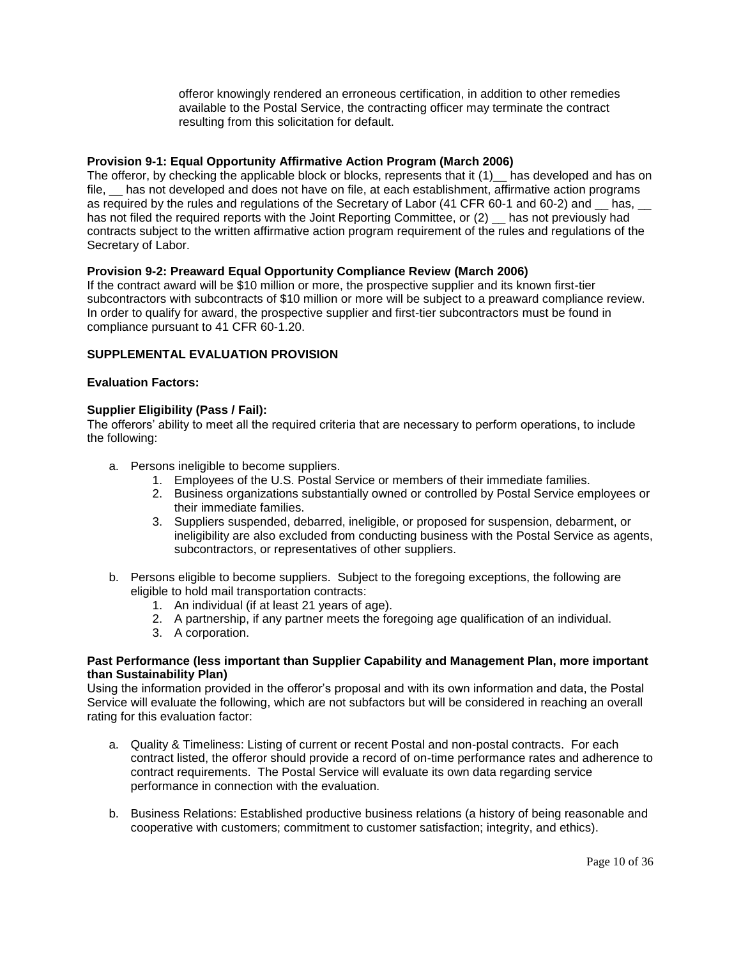offeror knowingly rendered an erroneous certification, in addition to other remedies available to the Postal Service, the contracting officer may terminate the contract resulting from this solicitation for default.

# <span id="page-9-0"></span>**[Provision 9-1: Equal Opportunity Affirmative Action Program \(March 2006\)](http://blue.usps.gov/policy/clauses/provision.htm)**

The offeror, by checking the applicable block or blocks, represents that it (1) has developed and has on file,  $\Box$  has not developed and does not have on file, at each establishment, affirmative action programs as required by the rules and regulations of the Secretary of Labor (41 CFR 60-1 and 60-2) and has, has not filed the required reports with the Joint Reporting Committee, or (2) has not previously had contracts subject to the written affirmative action program requirement of the rules and regulations of the Secretary of Labor.

# <span id="page-9-1"></span>**Provision 9-2: Preaward Equal Opportunity Compliance Review (March 2006)**

If the contract award will be \$10 million or more, the prospective supplier and its known first-tier subcontractors with subcontracts of \$10 million or more will be subject to a preaward compliance review. In order to qualify for award, the prospective supplier and first-tier subcontractors must be found in compliance pursuant to 41 CFR 60-1.20.

# **SUPPLEMENTAL EVALUATION PROVISION**

### **Evaluation Factors:**

# **Supplier Eligibility (Pass / Fail):**

The offerors' ability to meet all the required criteria that are necessary to perform operations, to include the following:

- a. Persons ineligible to become suppliers.
	- 1. Employees of the U.S. Postal Service or members of their immediate families.
	- 2. Business organizations substantially owned or controlled by Postal Service employees or their immediate families.
	- 3. Suppliers suspended, debarred, ineligible, or proposed for suspension, debarment, or ineligibility are also excluded from conducting business with the Postal Service as agents, subcontractors, or representatives of other suppliers.
- b. Persons eligible to become suppliers. Subject to the foregoing exceptions, the following are eligible to hold mail transportation contracts:
	- 1. An individual (if at least 21 years of age).
	- 2. A partnership, if any partner meets the foregoing age qualification of an individual.
	- 3. A corporation.

### **Past Performance (less important than Supplier Capability and Management Plan, more important than Sustainability Plan)**

Using the information provided in the offeror's proposal and with its own information and data, the Postal Service will evaluate the following, which are not subfactors but will be considered in reaching an overall rating for this evaluation factor:

- a. Quality & Timeliness: Listing of current or recent Postal and non-postal contracts. For each contract listed, the offeror should provide a record of on-time performance rates and adherence to contract requirements. The Postal Service will evaluate its own data regarding service performance in connection with the evaluation.
- b. Business Relations: Established productive business relations (a history of being reasonable and cooperative with customers; commitment to customer satisfaction; integrity, and ethics).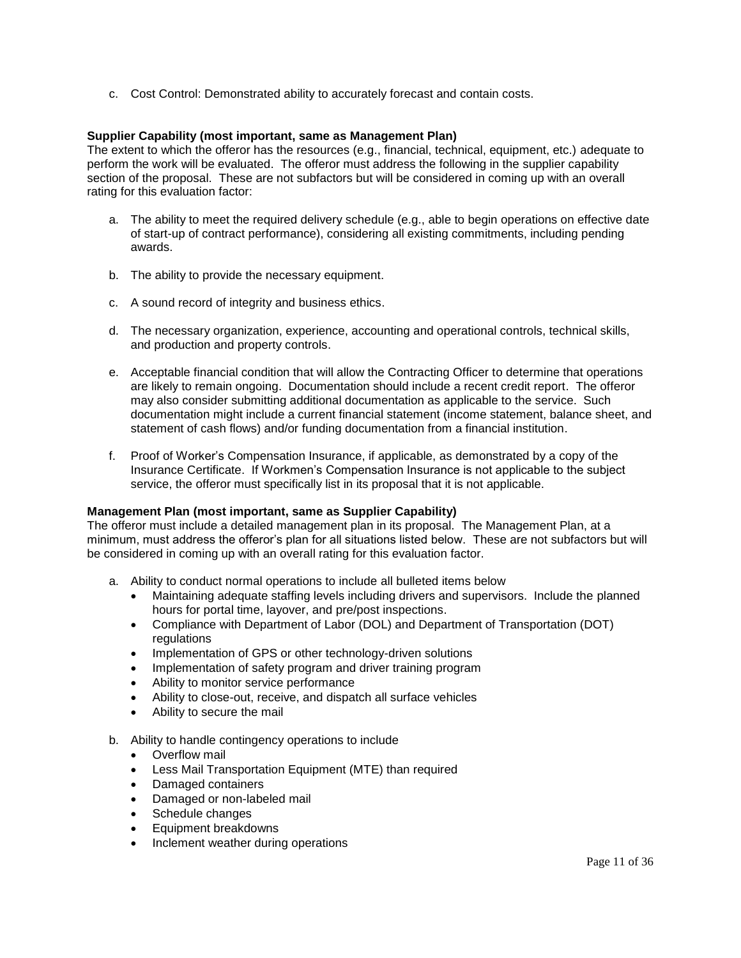c. Cost Control: Demonstrated ability to accurately forecast and contain costs.

# **Supplier Capability (most important, same as Management Plan)**

The extent to which the offeror has the resources (e.g., financial, technical, equipment, etc.) adequate to perform the work will be evaluated. The offeror must address the following in the supplier capability section of the proposal. These are not subfactors but will be considered in coming up with an overall rating for this evaluation factor:

- a. The ability to meet the required delivery schedule (e.g., able to begin operations on effective date of start-up of contract performance), considering all existing commitments, including pending awards.
- b. The ability to provide the necessary equipment.
- c. A sound record of integrity and business ethics.
- d. The necessary organization, experience, accounting and operational controls, technical skills, and production and property controls.
- e. Acceptable financial condition that will allow the Contracting Officer to determine that operations are likely to remain ongoing. Documentation should include a recent credit report. The offeror may also consider submitting additional documentation as applicable to the service. Such documentation might include a current financial statement (income statement, balance sheet, and statement of cash flows) and/or funding documentation from a financial institution.
- f. Proof of Worker's Compensation Insurance, if applicable, as demonstrated by a copy of the Insurance Certificate. If Workmen's Compensation Insurance is not applicable to the subject service, the offeror must specifically list in its proposal that it is not applicable.

# **Management Plan (most important, same as Supplier Capability)**

The offeror must include a detailed management plan in its proposal. The Management Plan, at a minimum, must address the offeror's plan for all situations listed below. These are not subfactors but will be considered in coming up with an overall rating for this evaluation factor.

- a. Ability to conduct normal operations to include all bulleted items below
	- Maintaining adequate staffing levels including drivers and supervisors. Include the planned hours for portal time, layover, and pre/post inspections.
	- Compliance with Department of Labor (DOL) and Department of Transportation (DOT) regulations
	- Implementation of GPS or other technology-driven solutions
	- Implementation of safety program and driver training program
	- Ability to monitor service performance
	- Ability to close-out, receive, and dispatch all surface vehicles
	- Ability to secure the mail
- b. Ability to handle contingency operations to include
	- Overflow mail
	- Less Mail Transportation Equipment (MTE) than required
	- Damaged containers
	- Damaged or non-labeled mail
	- Schedule changes
	- **•** Equipment breakdowns
	- Inclement weather during operations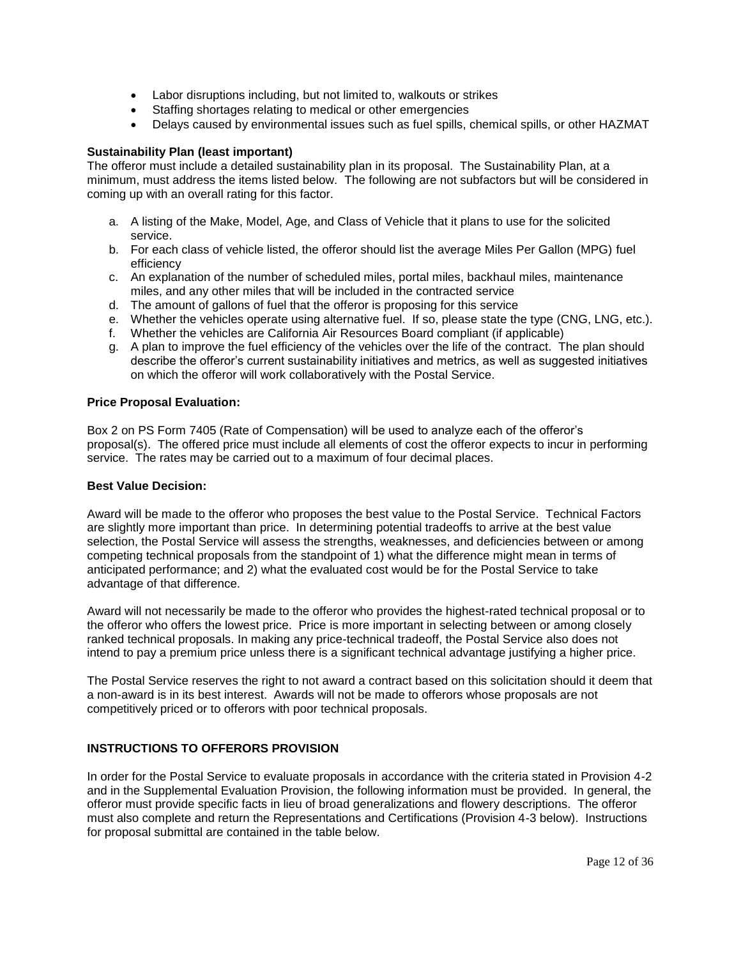- Labor disruptions including, but not limited to, walkouts or strikes
- Staffing shortages relating to medical or other emergencies
- Delays caused by environmental issues such as fuel spills, chemical spills, or other HAZMAT

# **Sustainability Plan (least important)**

The offeror must include a detailed sustainability plan in its proposal. The Sustainability Plan, at a minimum, must address the items listed below. The following are not subfactors but will be considered in coming up with an overall rating for this factor.

- a. A listing of the Make, Model, Age, and Class of Vehicle that it plans to use for the solicited service.
- b. For each class of vehicle listed, the offeror should list the average Miles Per Gallon (MPG) fuel efficiency
- c. An explanation of the number of scheduled miles, portal miles, backhaul miles, maintenance miles, and any other miles that will be included in the contracted service
- d. The amount of gallons of fuel that the offeror is proposing for this service
- e. Whether the vehicles operate using alternative fuel. If so, please state the type (CNG, LNG, etc.).
- f. Whether the vehicles are California Air Resources Board compliant (if applicable)
- g. A plan to improve the fuel efficiency of the vehicles over the life of the contract. The plan should describe the offeror's current sustainability initiatives and metrics, as well as suggested initiatives on which the offeror will work collaboratively with the Postal Service.

# **Price Proposal Evaluation:**

Box 2 on PS Form 7405 (Rate of Compensation) will be used to analyze each of the offeror's proposal(s). The offered price must include all elements of cost the offeror expects to incur in performing service. The rates may be carried out to a maximum of four decimal places.

## **Best Value Decision:**

Award will be made to the offeror who proposes the best value to the Postal Service. Technical Factors are slightly more important than price. In determining potential tradeoffs to arrive at the best value selection, the Postal Service will assess the strengths, weaknesses, and deficiencies between or among competing technical proposals from the standpoint of 1) what the difference might mean in terms of anticipated performance; and 2) what the evaluated cost would be for the Postal Service to take advantage of that difference.

Award will not necessarily be made to the offeror who provides the highest-rated technical proposal or to the offeror who offers the lowest price. Price is more important in selecting between or among closely ranked technical proposals. In making any price-technical tradeoff, the Postal Service also does not intend to pay a premium price unless there is a significant technical advantage justifying a higher price.

The Postal Service reserves the right to not award a contract based on this solicitation should it deem that a non-award is in its best interest. Awards will not be made to offerors whose proposals are not competitively priced or to offerors with poor technical proposals.

# <span id="page-11-0"></span>**INSTRUCTIONS TO OFFERORS PROVISION**

In order for the Postal Service to evaluate proposals in accordance with the criteria stated in Provision 4-2 and in the Supplemental Evaluation Provision, the following information must be provided. In general, the offeror must provide specific facts in lieu of broad generalizations and flowery descriptions. The offeror must also complete and return the Representations and Certifications (Provision 4-3 below). Instructions for proposal submittal are contained in the table below.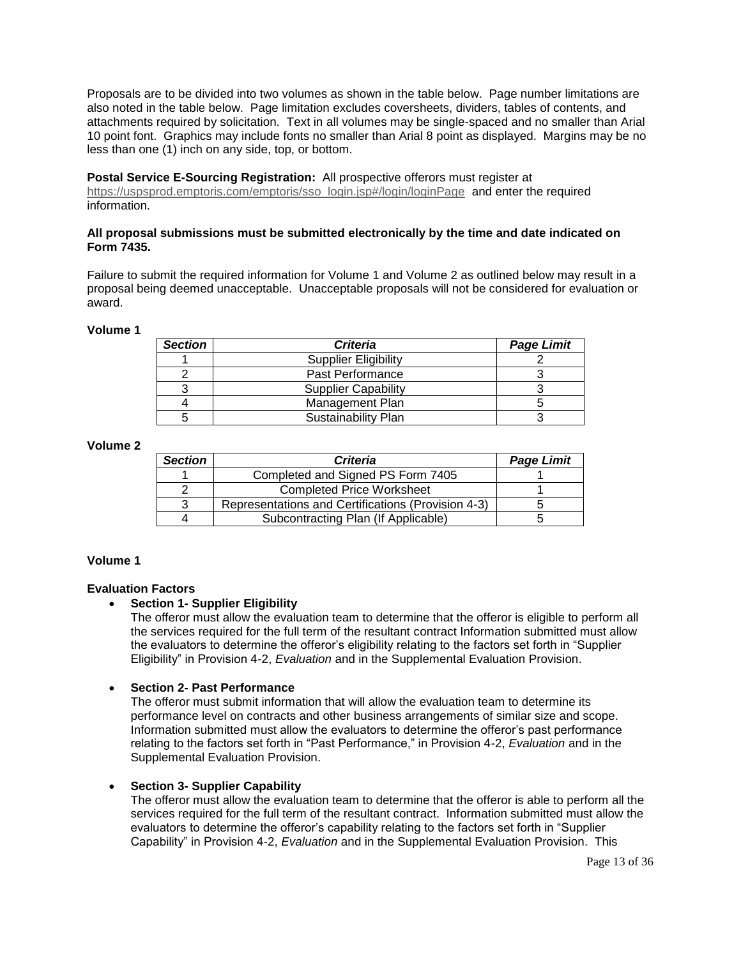Proposals are to be divided into two volumes as shown in the table below. Page number limitations are also noted in the table below. Page limitation excludes coversheets, dividers, tables of contents, and attachments required by solicitation. Text in all volumes may be single-spaced and no smaller than Arial 10 point font. Graphics may include fonts no smaller than Arial 8 point as displayed. Margins may be no less than one (1) inch on any side, top, or bottom.

#### **Postal Service E-Sourcing Registration:** All prospective offerors must register at

[https://uspsprod.emptoris.com/emptoris/sso\\_login.jsp#/login/loginPage](https://uspsprod.emptoris.com/emptoris/sso_login.jsp#/login/loginPage) and enter the required information.

# **All proposal submissions must be submitted electronically by the time and date indicated on Form 7435.**

Failure to submit the required information for Volume 1 and Volume 2 as outlined below may result in a proposal being deemed unacceptable. Unacceptable proposals will not be considered for evaluation or award.

#### **Volume 1**

| <b>Section</b> | <b>Criteria</b>             | <b>Page Limit</b> |
|----------------|-----------------------------|-------------------|
|                | <b>Supplier Eligibility</b> |                   |
|                | Past Performance            |                   |
|                | <b>Supplier Capability</b>  |                   |
|                | Management Plan             |                   |
|                | Sustainability Plan         |                   |

## **Volume 2**

| <b>Section</b> | <b>Criteria</b>                                    | <b>Page Limit</b> |
|----------------|----------------------------------------------------|-------------------|
|                | Completed and Signed PS Form 7405                  |                   |
|                | <b>Completed Price Worksheet</b>                   |                   |
|                | Representations and Certifications (Provision 4-3) |                   |
|                | Subcontracting Plan (If Applicable)                |                   |

### **Volume 1**

### **Evaluation Factors**

# **Section 1- Supplier Eligibility**

The offeror must allow the evaluation team to determine that the offeror is eligible to perform all the services required for the full term of the resultant contract Information submitted must allow the evaluators to determine the offeror's eligibility relating to the factors set forth in "Supplier Eligibility" in Provision 4-2, *Evaluation* and in the Supplemental Evaluation Provision.

### **Section 2- Past Performance**

The offeror must submit information that will allow the evaluation team to determine its performance level on contracts and other business arrangements of similar size and scope. Information submitted must allow the evaluators to determine the offeror's past performance relating to the factors set forth in "Past Performance," in Provision 4-2, *Evaluation* and in the Supplemental Evaluation Provision.

### **Section 3- Supplier Capability**

The offeror must allow the evaluation team to determine that the offeror is able to perform all the services required for the full term of the resultant contract. Information submitted must allow the evaluators to determine the offeror's capability relating to the factors set forth in "Supplier Capability" in Provision 4-2, *Evaluation* and in the Supplemental Evaluation Provision. This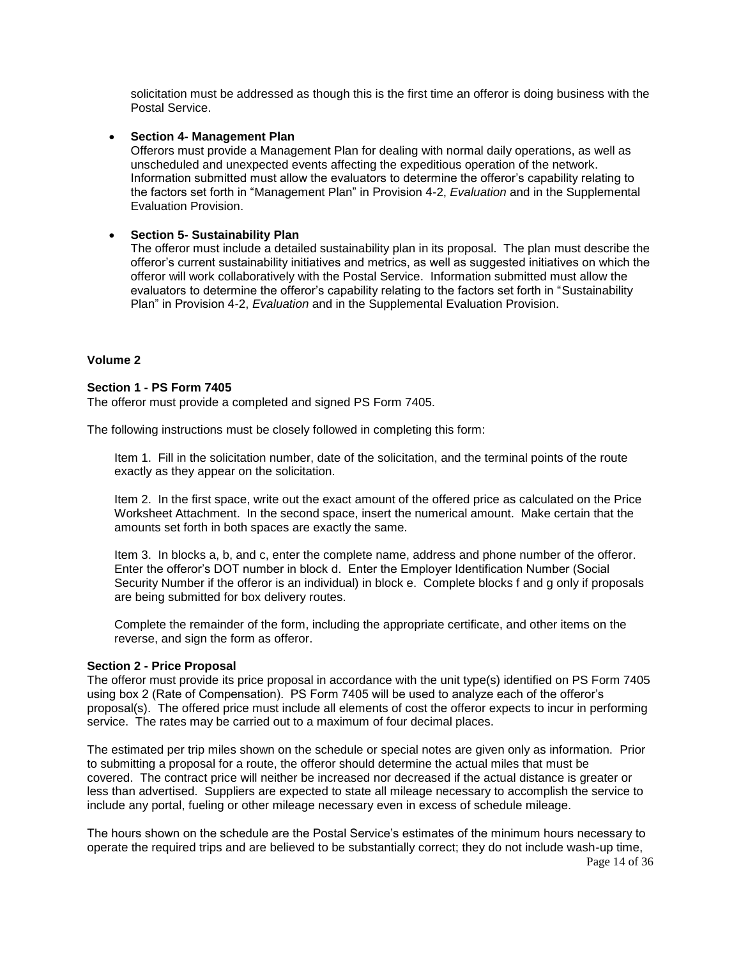solicitation must be addressed as though this is the first time an offeror is doing business with the Postal Service.

**Section 4- Management Plan**

Offerors must provide a Management Plan for dealing with normal daily operations, as well as unscheduled and unexpected events affecting the expeditious operation of the network. Information submitted must allow the evaluators to determine the offeror's capability relating to the factors set forth in "Management Plan" in Provision 4-2, *Evaluation* and in the Supplemental Evaluation Provision.

#### **Section 5- Sustainability Plan**

The offeror must include a detailed sustainability plan in its proposal. The plan must describe the offeror's current sustainability initiatives and metrics, as well as suggested initiatives on which the offeror will work collaboratively with the Postal Service. Information submitted must allow the evaluators to determine the offeror's capability relating to the factors set forth in "Sustainability Plan" in Provision 4-2, *Evaluation* and in the Supplemental Evaluation Provision.

#### **Volume 2**

#### **Section 1 - PS Form 7405**

The offeror must provide a completed and signed PS Form 7405.

The following instructions must be closely followed in completing this form:

Item 1. Fill in the solicitation number, date of the solicitation, and the terminal points of the route exactly as they appear on the solicitation.

Item 2. In the first space, write out the exact amount of the offered price as calculated on the Price Worksheet Attachment. In the second space, insert the numerical amount. Make certain that the amounts set forth in both spaces are exactly the same.

Item 3. In blocks a, b, and c, enter the complete name, address and phone number of the offeror. Enter the offeror's DOT number in block d. Enter the Employer Identification Number (Social Security Number if the offeror is an individual) in block e. Complete blocks f and g only if proposals are being submitted for box delivery routes.

Complete the remainder of the form, including the appropriate certificate, and other items on the reverse, and sign the form as offeror.

#### **Section 2 - Price Proposal**

The offeror must provide its price proposal in accordance with the unit type(s) identified on PS Form 7405 using box 2 (Rate of Compensation). PS Form 7405 will be used to analyze each of the offeror's proposal(s). The offered price must include all elements of cost the offeror expects to incur in performing service. The rates may be carried out to a maximum of four decimal places.

The estimated per trip miles shown on the schedule or special notes are given only as information. Prior to submitting a proposal for a route, the offeror should determine the actual miles that must be covered. The contract price will neither be increased nor decreased if the actual distance is greater or less than advertised. Suppliers are expected to state all mileage necessary to accomplish the service to include any portal, fueling or other mileage necessary even in excess of schedule mileage.

Page 14 of 36 The hours shown on the schedule are the Postal Service's estimates of the minimum hours necessary to operate the required trips and are believed to be substantially correct; they do not include wash-up time,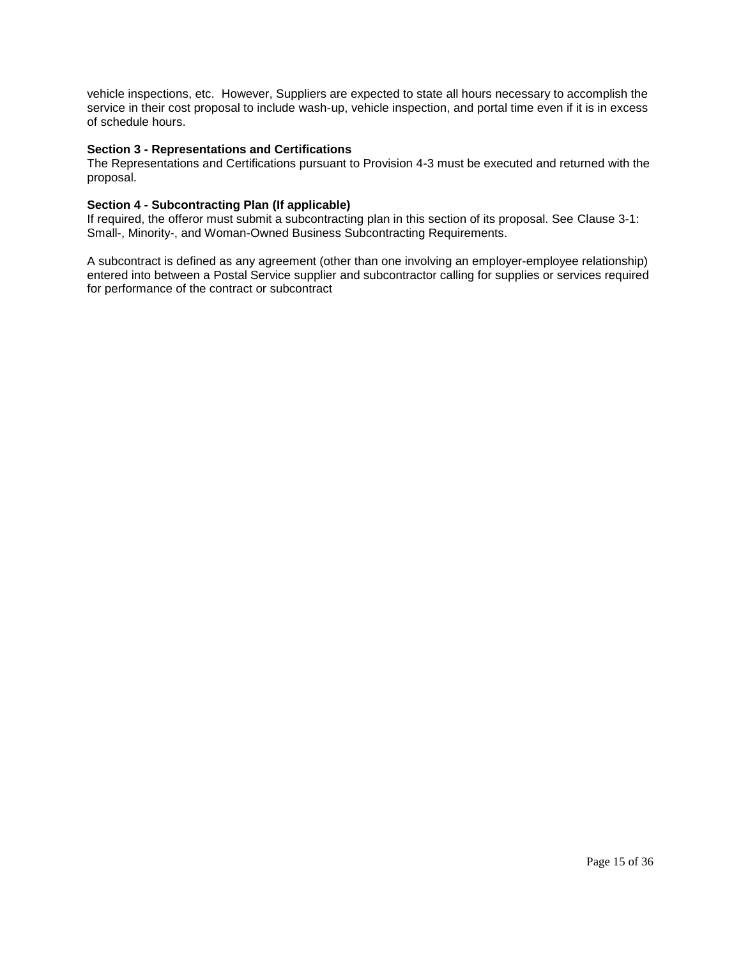vehicle inspections, etc. However, Suppliers are expected to state all hours necessary to accomplish the service in their cost proposal to include wash-up, vehicle inspection, and portal time even if it is in excess of schedule hours.

# **Section 3 - Representations and Certifications**

The Representations and Certifications pursuant to Provision 4-3 must be executed and returned with the proposal.

## **Section 4 - Subcontracting Plan (If applicable)**

If required, the offeror must submit a subcontracting plan in this section of its proposal. See Clause 3-1: Small-, Minority-, and Woman-Owned Business Subcontracting Requirements.

A subcontract is defined as any agreement (other than one involving an employer-employee relationship) entered into between a Postal Service supplier and subcontractor calling for supplies or services required for performance of the contract or subcontract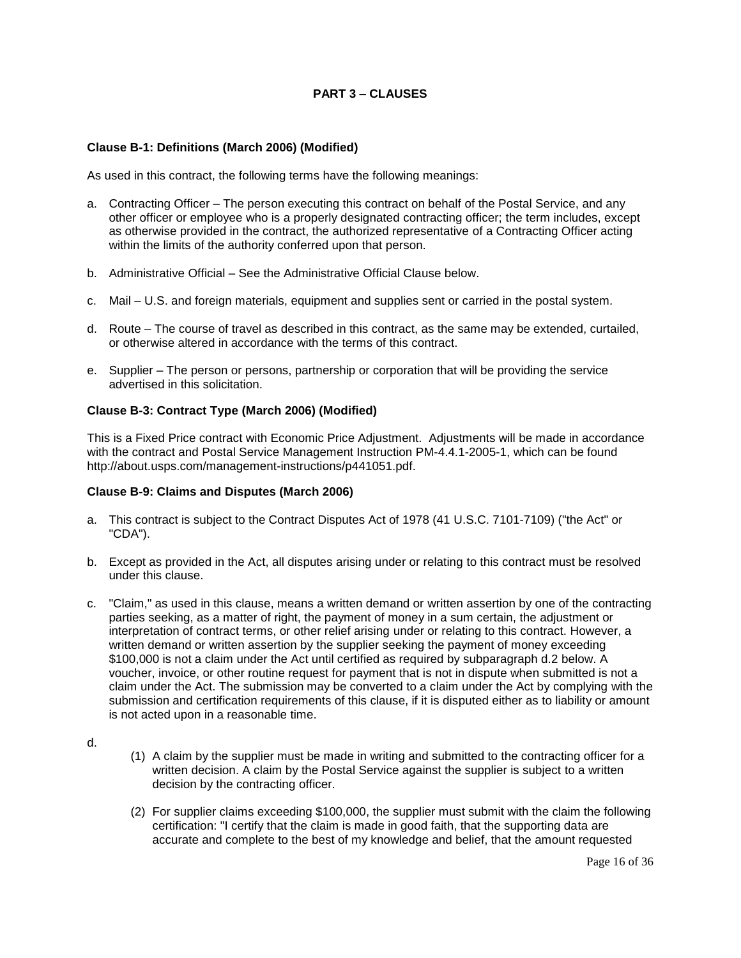# **PART 3 – CLAUSES**

## <span id="page-15-1"></span><span id="page-15-0"></span>**Clause B-1: Definitions (March 2006) (Modified)**

As used in this contract, the following terms have the following meanings:

- a. Contracting Officer The person executing this contract on behalf of the Postal Service, and any other officer or employee who is a properly designated contracting officer; the term includes, except as otherwise provided in the contract, the authorized representative of a Contracting Officer acting within the limits of the authority conferred upon that person.
- b. Administrative Official See the Administrative Official Clause below.
- c. Mail U.S. and foreign materials, equipment and supplies sent or carried in the postal system.
- d. Route The course of travel as described in this contract, as the same may be extended, curtailed, or otherwise altered in accordance with the terms of this contract.
- e. Supplier The person or persons, partnership or corporation that will be providing the service advertised in this solicitation.

#### <span id="page-15-2"></span>**Clause B-3: Contract Type (March 2006) (Modified)**

This is a Fixed Price contract with Economic Price Adjustment. Adjustments will be made in accordance with the contract and Postal Service Management Instruction PM-4.4.1-2005-1, which can be found http://about.usps.com/management-instructions/p441051.pdf.

### <span id="page-15-3"></span>**Clause B-9: Claims and Disputes (March 2006)**

- a. This contract is subject to the Contract Disputes Act of 1978 (41 U.S.C. 7101-7109) ("the Act" or "CDA").
- b. Except as provided in the Act, all disputes arising under or relating to this contract must be resolved under this clause.
- c. "Claim," as used in this clause, means a written demand or written assertion by one of the contracting parties seeking, as a matter of right, the payment of money in a sum certain, the adjustment or interpretation of contract terms, or other relief arising under or relating to this contract. However, a written demand or written assertion by the supplier seeking the payment of money exceeding \$100,000 is not a claim under the Act until certified as required by subparagraph d.2 below. A voucher, invoice, or other routine request for payment that is not in dispute when submitted is not a claim under the Act. The submission may be converted to a claim under the Act by complying with the submission and certification requirements of this clause, if it is disputed either as to liability or amount is not acted upon in a reasonable time.

d.

- (1) A claim by the supplier must be made in writing and submitted to the contracting officer for a written decision. A claim by the Postal Service against the supplier is subject to a written decision by the contracting officer.
- (2) For supplier claims exceeding \$100,000, the supplier must submit with the claim the following certification: "I certify that the claim is made in good faith, that the supporting data are accurate and complete to the best of my knowledge and belief, that the amount requested

Page 16 of 36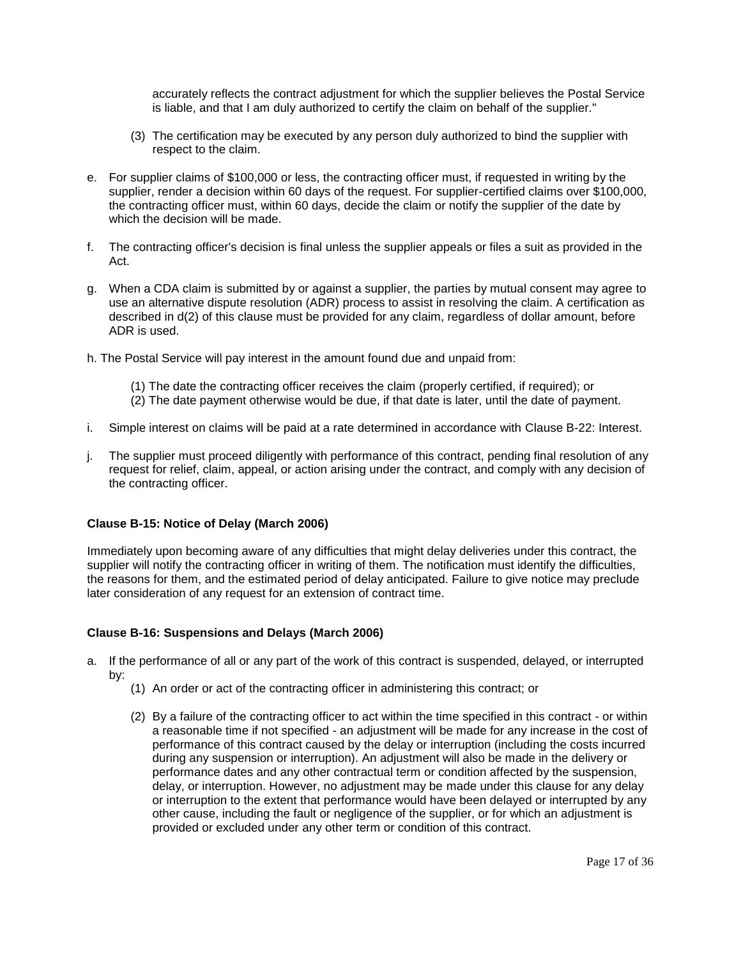accurately reflects the contract adjustment for which the supplier believes the Postal Service is liable, and that I am duly authorized to certify the claim on behalf of the supplier."

- (3) The certification may be executed by any person duly authorized to bind the supplier with respect to the claim.
- e. For supplier claims of \$100,000 or less, the contracting officer must, if requested in writing by the supplier, render a decision within 60 days of the request. For supplier-certified claims over \$100,000, the contracting officer must, within 60 days, decide the claim or notify the supplier of the date by which the decision will be made.
- f. The contracting officer's decision is final unless the supplier appeals or files a suit as provided in the Act.
- g. When a CDA claim is submitted by or against a supplier, the parties by mutual consent may agree to use an alternative dispute resolution (ADR) process to assist in resolving the claim. A certification as described in d(2) of this clause must be provided for any claim, regardless of dollar amount, before ADR is used.
- h. The Postal Service will pay interest in the amount found due and unpaid from:
	- (1) The date the contracting officer receives the claim (properly certified, if required); or
	- (2) The date payment otherwise would be due, if that date is later, until the date of payment.
- i. Simple interest on claims will be paid at a rate determined in accordance with Clause B-22: Interest.
- j. The supplier must proceed diligently with performance of this contract, pending final resolution of any request for relief, claim, appeal, or action arising under the contract, and comply with any decision of the contracting officer.

### <span id="page-16-0"></span>**Clause [B-15: Notice of Delay](http://blue.usps.gov/policy/clauses/clauses.htm) (March 2006)**

Immediately upon becoming aware of any difficulties that might delay deliveries under this contract, the supplier will notify the contracting officer in writing of them. The notification must identify the difficulties, the reasons for them, and the estimated period of delay anticipated. Failure to give notice may preclude later consideration of any request for an extension of contract time.

# <span id="page-16-1"></span>**Clause B-16: Suspensions and Delays (March 2006)**

- a. If the performance of all or any part of the work of this contract is suspended, delayed, or interrupted by:
	- (1) An order or act of the contracting officer in administering this contract; or
	- (2) By a failure of the contracting officer to act within the time specified in this contract or within a reasonable time if not specified - an adjustment will be made for any increase in the cost of performance of this contract caused by the delay or interruption (including the costs incurred during any suspension or interruption). An adjustment will also be made in the delivery or performance dates and any other contractual term or condition affected by the suspension, delay, or interruption. However, no adjustment may be made under this clause for any delay or interruption to the extent that performance would have been delayed or interrupted by any other cause, including the fault or negligence of the supplier, or for which an adjustment is provided or excluded under any other term or condition of this contract.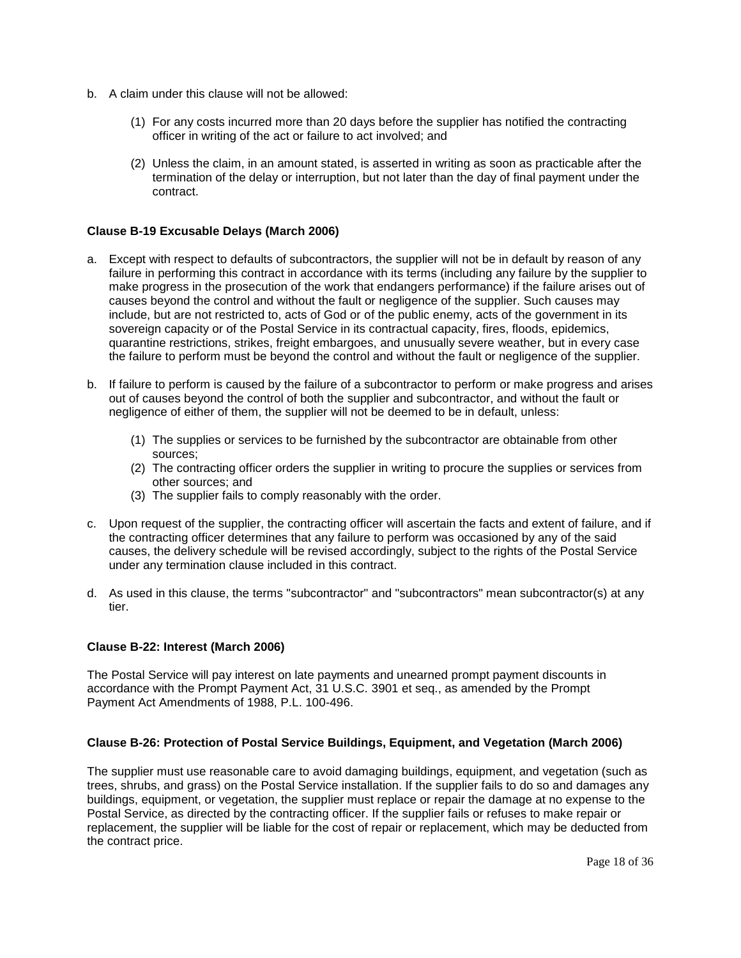- b. A claim under this clause will not be allowed:
	- (1) For any costs incurred more than 20 days before the supplier has notified the contracting officer in writing of the act or failure to act involved; and
	- (2) Unless the claim, in an amount stated, is asserted in writing as soon as practicable after the termination of the delay or interruption, but not later than the day of final payment under the contract.

# <span id="page-17-0"></span>**Clause B-19 Excusable Delays (March 2006)**

- a. Except with respect to defaults of subcontractors, the supplier will not be in default by reason of any failure in performing this contract in accordance with its terms (including any failure by the supplier to make progress in the prosecution of the work that endangers performance) if the failure arises out of causes beyond the control and without the fault or negligence of the supplier. Such causes may include, but are not restricted to, acts of God or of the public enemy, acts of the government in its sovereign capacity or of the Postal Service in its contractual capacity, fires, floods, epidemics, quarantine restrictions, strikes, freight embargoes, and unusually severe weather, but in every case the failure to perform must be beyond the control and without the fault or negligence of the supplier.
- b. If failure to perform is caused by the failure of a subcontractor to perform or make progress and arises out of causes beyond the control of both the supplier and subcontractor, and without the fault or negligence of either of them, the supplier will not be deemed to be in default, unless:
	- (1) The supplies or services to be furnished by the subcontractor are obtainable from other sources;
	- (2) The contracting officer orders the supplier in writing to procure the supplies or services from other sources; and
	- (3) The supplier fails to comply reasonably with the order.
- c. Upon request of the supplier, the contracting officer will ascertain the facts and extent of failure, and if the contracting officer determines that any failure to perform was occasioned by any of the said causes, the delivery schedule will be revised accordingly, subject to the rights of the Postal Service under any termination clause included in this contract.
- d. As used in this clause, the terms "subcontractor" and "subcontractors" mean subcontractor(s) at any tier.

### <span id="page-17-1"></span>**Clause B-22: Interest (March 2006)**

The Postal Service will pay interest on late payments and unearned prompt payment discounts in accordance with the Prompt Payment Act, 31 U.S.C. 3901 et seq., as amended by the Prompt Payment Act Amendments of 1988, P.L. 100-496.

# <span id="page-17-2"></span>**Clause B-26: Protection of Postal Service Buildings, Equipment, and Vegetation (March 2006)**

The supplier must use reasonable care to avoid damaging buildings, equipment, and vegetation (such as trees, shrubs, and grass) on the Postal Service installation. If the supplier fails to do so and damages any buildings, equipment, or vegetation, the supplier must replace or repair the damage at no expense to the Postal Service, as directed by the contracting officer. If the supplier fails or refuses to make repair or replacement, the supplier will be liable for the cost of repair or replacement, which may be deducted from the contract price.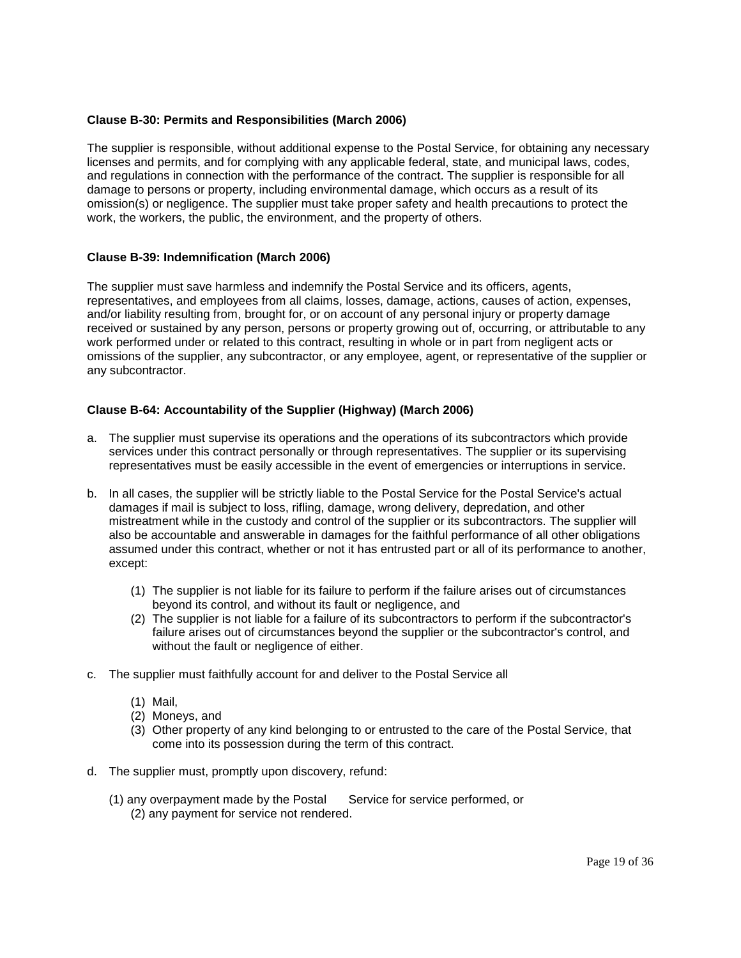# <span id="page-18-0"></span>**Clause B-30: Permits and Responsibilities (March 2006)**

The supplier is responsible, without additional expense to the Postal Service, for obtaining any necessary licenses and permits, and for complying with any applicable federal, state, and municipal laws, codes, and regulations in connection with the performance of the contract. The supplier is responsible for all damage to persons or property, including environmental damage, which occurs as a result of its omission(s) or negligence. The supplier must take proper safety and health precautions to protect the work, the workers, the public, the environment, and the property of others.

# <span id="page-18-1"></span>**[Clause B-39: Indemnification \(March](http://blue.usps.gov/policy/clauses/clauses.htm) 2006)**

The supplier must save harmless and indemnify the Postal Service and its officers, agents, representatives, and employees from all claims, losses, damage, actions, causes of action, expenses, and/or liability resulting from, brought for, or on account of any personal injury or property damage received or sustained by any person, persons or property growing out of, occurring, or attributable to any work performed under or related to this contract, resulting in whole or in part from negligent acts or omissions of the supplier, any subcontractor, or any employee, agent, or representative of the supplier or any subcontractor.

### <span id="page-18-2"></span>**Clause B-64: Accountability of the Supplier (Highway) (March 2006)**

- a. The supplier must supervise its operations and the operations of its subcontractors which provide services under this contract personally or through representatives. The supplier or its supervising representatives must be easily accessible in the event of emergencies or interruptions in service.
- b. In all cases, the supplier will be strictly liable to the Postal Service for the Postal Service's actual damages if mail is subject to loss, rifling, damage, wrong delivery, depredation, and other mistreatment while in the custody and control of the supplier or its subcontractors. The supplier will also be accountable and answerable in damages for the faithful performance of all other obligations assumed under this contract, whether or not it has entrusted part or all of its performance to another, except:
	- (1) The supplier is not liable for its failure to perform if the failure arises out of circumstances beyond its control, and without its fault or negligence, and
	- (2) The supplier is not liable for a failure of its subcontractors to perform if the subcontractor's failure arises out of circumstances beyond the supplier or the subcontractor's control, and without the fault or negligence of either.
- c. The supplier must faithfully account for and deliver to the Postal Service all
	- (1) Mail,
	- (2) Moneys, and
	- (3) Other property of any kind belonging to or entrusted to the care of the Postal Service, that come into its possession during the term of this contract.
- d. The supplier must, promptly upon discovery, refund:
	- (1) any overpayment made by the Postal Service for service performed, or (2) any payment for service not rendered.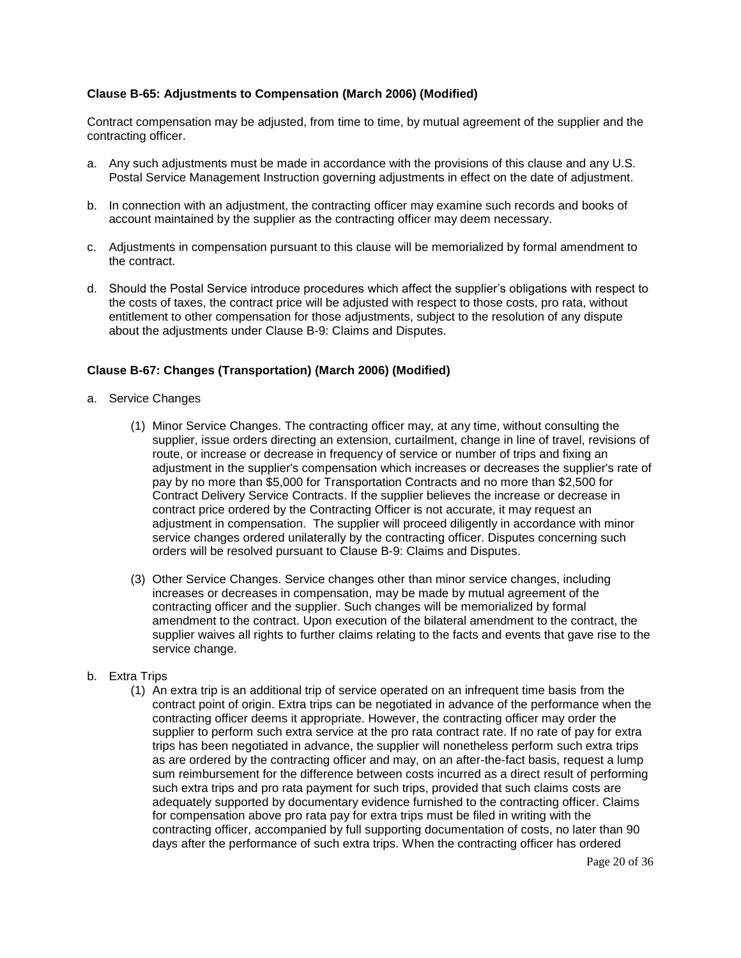# <span id="page-19-0"></span>**Clause B-65: Adjustments to Compensation (March 2006) (Modified)**

Contract compensation may be adjusted, from time to time, by mutual agreement of the supplier and the contracting officer.

- a. Any such adjustments must be made in accordance with the provisions of this clause and any U.S. Postal Service Management Instruction governing adjustments in effect on the date of adjustment.
- b. In connection with an adjustment, the contracting officer may examine such records and books of account maintained by the supplier as the contracting officer may deem necessary.
- c. Adjustments in compensation pursuant to this clause will be memorialized by formal amendment to the contract.
- d. Should the Postal Service introduce procedures which affect the supplier's obligations with respect to the costs of taxes, the contract price will be adjusted with respect to those costs, pro rata, without entitlement to other compensation for those adjustments, subject to the resolution of any dispute about the adjustments under Clause B-9: Claims and Disputes.

# <span id="page-19-1"></span>**Clause B-67: Changes (Transportation) (March 2006) (Modified)**

- a. Service Changes
	- (1) Minor Service Changes. The contracting officer may, at any time, without consulting the supplier, issue orders directing an extension, curtailment, change in line of travel, revisions of route, or increase or decrease in frequency of service or number of trips and fixing an adjustment in the supplier's compensation which increases or decreases the supplier's rate of pay by no more than \$5,000 for Transportation Contracts and no more than \$2,500 for Contract Delivery Service Contracts. If the supplier believes the increase or decrease in contract price ordered by the Contracting Officer is not accurate, it may request an adjustment in compensation. The supplier will proceed diligently in accordance with minor service changes ordered unilaterally by the contracting officer. Disputes concerning such orders will be resolved pursuant to Clause B-9: Claims and Disputes.
	- (3) Other Service Changes. Service changes other than minor service changes, including increases or decreases in compensation, may be made by mutual agreement of the contracting officer and the supplier. Such changes will be memorialized by formal amendment to the contract. Upon execution of the bilateral amendment to the contract, the supplier waives all rights to further claims relating to the facts and events that gave rise to the service change.
- b. Extra Trips
	- (1) An extra trip is an additional trip of service operated on an infrequent time basis from the contract point of origin. Extra trips can be negotiated in advance of the performance when the contracting officer deems it appropriate. However, the contracting officer may order the supplier to perform such extra service at the pro rata contract rate. If no rate of pay for extra trips has been negotiated in advance, the supplier will nonetheless perform such extra trips as are ordered by the contracting officer and may, on an after-the-fact basis, request a lump sum reimbursement for the difference between costs incurred as a direct result of performing such extra trips and pro rata payment for such trips, provided that such claims costs are adequately supported by documentary evidence furnished to the contracting officer. Claims for compensation above pro rata pay for extra trips must be filed in writing with the contracting officer, accompanied by full supporting documentation of costs, no later than 90 days after the performance of such extra trips. When the contracting officer has ordered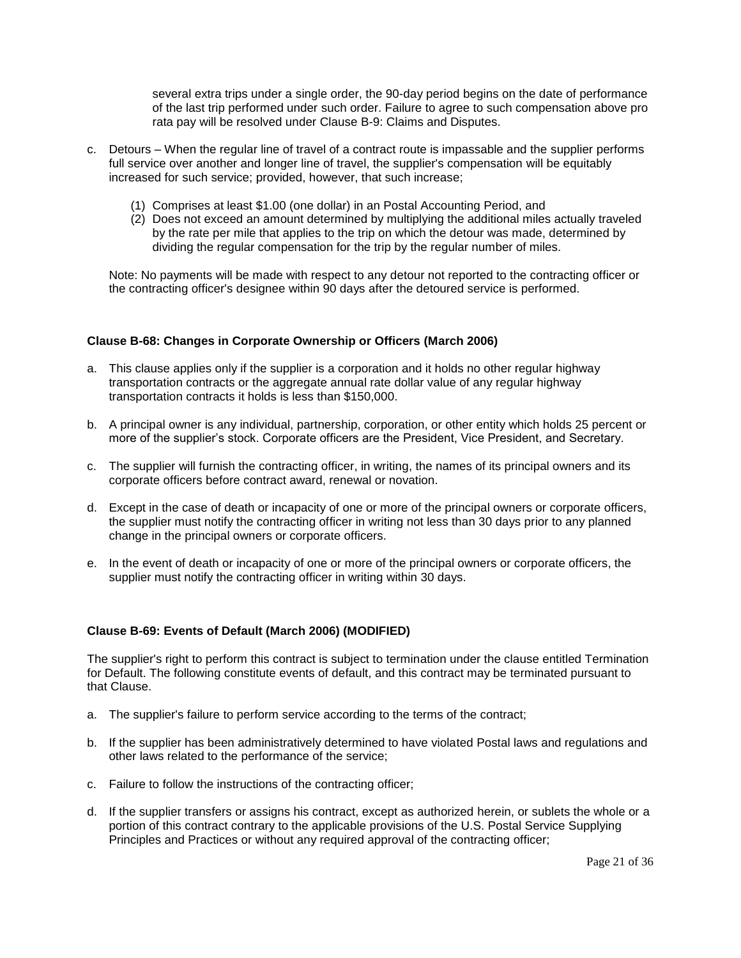several extra trips under a single order, the 90-day period begins on the date of performance of the last trip performed under such order. Failure to agree to such compensation above pro rata pay will be resolved under Clause B-9: Claims and Disputes.

- c. Detours When the regular line of travel of a contract route is impassable and the supplier performs full service over another and longer line of travel, the supplier's compensation will be equitably increased for such service; provided, however, that such increase;
	- (1) Comprises at least \$1.00 (one dollar) in an Postal Accounting Period, and
	- (2) Does not exceed an amount determined by multiplying the additional miles actually traveled by the rate per mile that applies to the trip on which the detour was made, determined by dividing the regular compensation for the trip by the regular number of miles.

Note: No payments will be made with respect to any detour not reported to the contracting officer or the contracting officer's designee within 90 days after the detoured service is performed.

# <span id="page-20-0"></span>**Clause B-68: Changes in Corporate Ownership or Officers (March 2006)**

- a. This clause applies only if the supplier is a corporation and it holds no other regular highway transportation contracts or the aggregate annual rate dollar value of any regular highway transportation contracts it holds is less than \$150,000.
- b. A principal owner is any individual, partnership, corporation, or other entity which holds 25 percent or more of the supplier's stock. Corporate officers are the President, Vice President, and Secretary.
- c. The supplier will furnish the contracting officer, in writing, the names of its principal owners and its corporate officers before contract award, renewal or novation.
- d. Except in the case of death or incapacity of one or more of the principal owners or corporate officers, the supplier must notify the contracting officer in writing not less than 30 days prior to any planned change in the principal owners or corporate officers.
- e. In the event of death or incapacity of one or more of the principal owners or corporate officers, the supplier must notify the contracting officer in writing within 30 days.

### <span id="page-20-1"></span>**Clause B-69: Events of Default (March 2006) (MODIFIED)**

The supplier's right to perform this contract is subject to termination under the clause entitled Termination for Default. The following constitute events of default, and this contract may be terminated pursuant to that Clause.

- a. The supplier's failure to perform service according to the terms of the contract;
- b. If the supplier has been administratively determined to have violated Postal laws and regulations and other laws related to the performance of the service;
- c. Failure to follow the instructions of the contracting officer;
- d. If the supplier transfers or assigns his contract, except as authorized herein, or sublets the whole or a portion of this contract contrary to the applicable provisions of the U.S. Postal Service Supplying Principles and Practices or without any required approval of the contracting officer;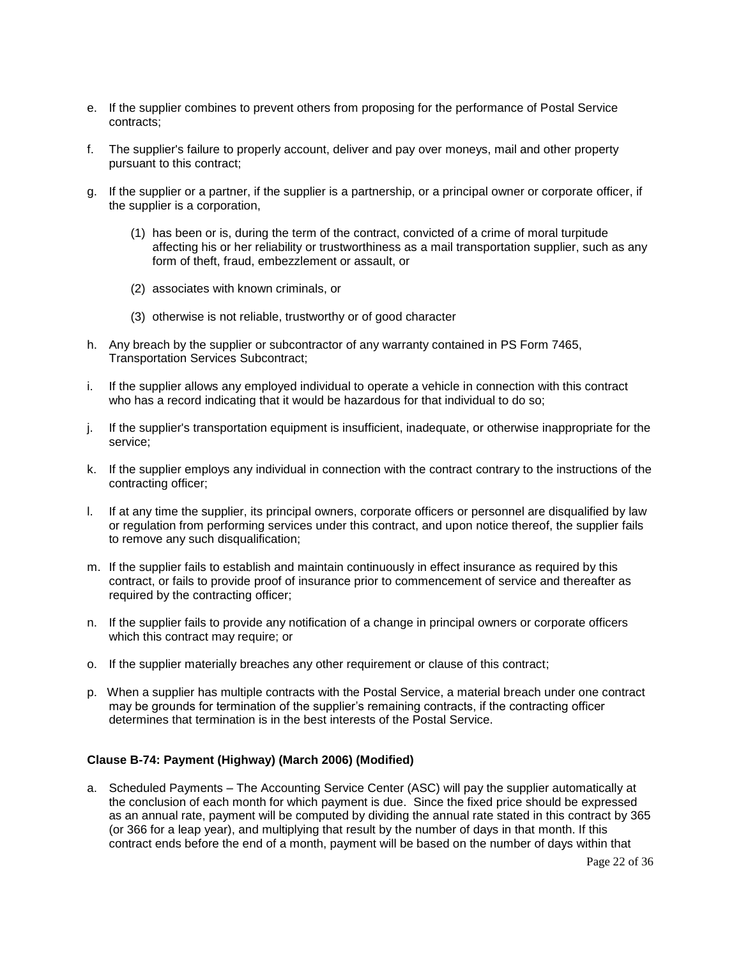- e. If the supplier combines to prevent others from proposing for the performance of Postal Service contracts;
- f. The supplier's failure to properly account, deliver and pay over moneys, mail and other property pursuant to this contract;
- g. If the supplier or a partner, if the supplier is a partnership, or a principal owner or corporate officer, if the supplier is a corporation,
	- (1) has been or is, during the term of the contract, convicted of a crime of moral turpitude affecting his or her reliability or trustworthiness as a mail transportation supplier, such as any form of theft, fraud, embezzlement or assault, or
	- (2) associates with known criminals, or
	- (3) otherwise is not reliable, trustworthy or of good character
- h. Any breach by the supplier or subcontractor of any warranty contained in PS Form 7465, Transportation Services Subcontract;
- i. If the supplier allows any employed individual to operate a vehicle in connection with this contract who has a record indicating that it would be hazardous for that individual to do so;
- j. If the supplier's transportation equipment is insufficient, inadequate, or otherwise inappropriate for the service;
- k. If the supplier employs any individual in connection with the contract contrary to the instructions of the contracting officer;
- l. If at any time the supplier, its principal owners, corporate officers or personnel are disqualified by law or regulation from performing services under this contract, and upon notice thereof, the supplier fails to remove any such disqualification;
- m. If the supplier fails to establish and maintain continuously in effect insurance as required by this contract, or fails to provide proof of insurance prior to commencement of service and thereafter as required by the contracting officer:
- n. If the supplier fails to provide any notification of a change in principal owners or corporate officers which this contract may require; or
- o. If the supplier materially breaches any other requirement or clause of this contract;
- p. When a supplier has multiple contracts with the Postal Service, a material breach under one contract may be grounds for termination of the supplier's remaining contracts, if the contracting officer determines that termination is in the best interests of the Postal Service.

### <span id="page-21-0"></span>**Clause B-74: Payment (Highway) (March 2006) (Modified)**

a. Scheduled Payments – The Accounting Service Center (ASC) will pay the supplier automatically at the conclusion of each month for which payment is due. Since the fixed price should be expressed as an annual rate, payment will be computed by dividing the annual rate stated in this contract by 365 (or 366 for a leap year), and multiplying that result by the number of days in that month. If this contract ends before the end of a month, payment will be based on the number of days within that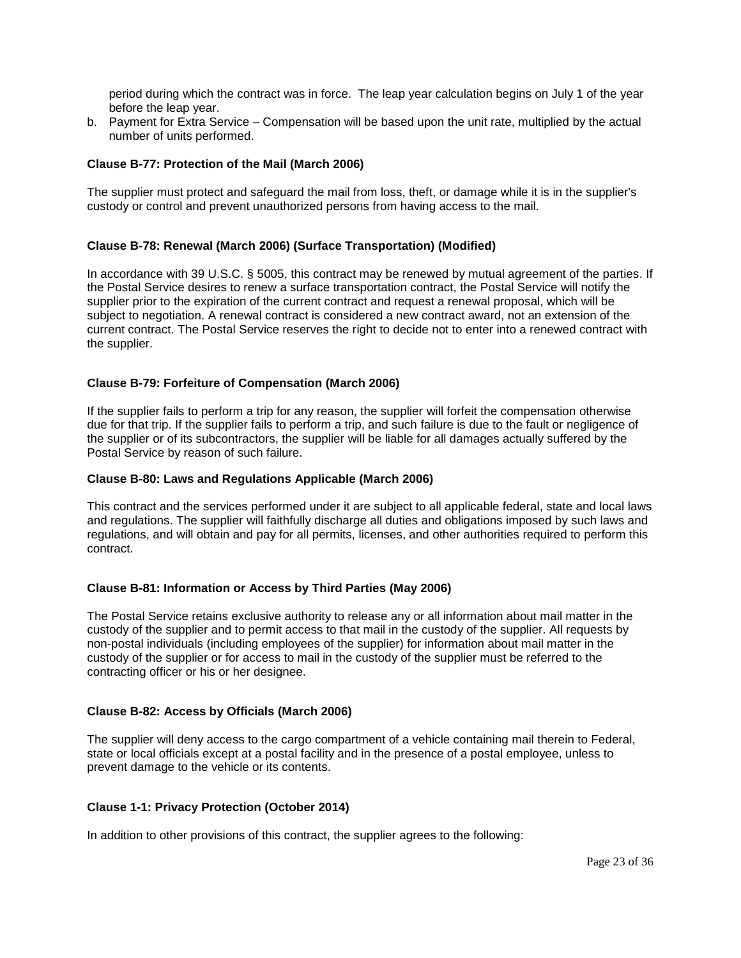period during which the contract was in force. The leap year calculation begins on July 1 of the year before the leap year.

b. Payment for Extra Service – Compensation will be based upon the unit rate, multiplied by the actual number of units performed.

# <span id="page-22-0"></span>**Clause B-77: Protection of the Mail (March 2006)**

The supplier must protect and safeguard the mail from loss, theft, or damage while it is in the supplier's custody or control and prevent unauthorized persons from having access to the mail.

# <span id="page-22-1"></span>**Clause B-78: Renewal (March 2006) (Surface Transportation) (Modified)**

In accordance with 39 U.S.C. § 5005, this contract may be renewed by mutual agreement of the parties. If the Postal Service desires to renew a surface transportation contract, the Postal Service will notify the supplier prior to the expiration of the current contract and request a renewal proposal, which will be subject to negotiation. A renewal contract is considered a new contract award, not an extension of the current contract. The Postal Service reserves the right to decide not to enter into a renewed contract with the supplier.

# <span id="page-22-2"></span>**Clause B-79: Forfeiture of Compensation (March 2006)**

If the supplier fails to perform a trip for any reason, the supplier will forfeit the compensation otherwise due for that trip. If the supplier fails to perform a trip, and such failure is due to the fault or negligence of the supplier or of its subcontractors, the supplier will be liable for all damages actually suffered by the Postal Service by reason of such failure.

## <span id="page-22-3"></span>**Clause B-80: Laws and Regulations Applicable (March 2006)**

This contract and the services performed under it are subject to all applicable federal, state and local laws and regulations. The supplier will faithfully discharge all duties and obligations imposed by such laws and regulations, and will obtain and pay for all permits, licenses, and other authorities required to perform this contract.

### <span id="page-22-4"></span>**Clause B-81: Information or Access by Third Parties (May 2006)**

The Postal Service retains exclusive authority to release any or all information about mail matter in the custody of the supplier and to permit access to that mail in the custody of the supplier. All requests by non-postal individuals (including employees of the supplier) for information about mail matter in the custody of the supplier or for access to mail in the custody of the supplier must be referred to the contracting officer or his or her designee.

### <span id="page-22-5"></span>**Clause B-82: Access by Officials (March 2006)**

The supplier will deny access to the cargo compartment of a vehicle containing mail therein to Federal, state or local officials except at a postal facility and in the presence of a postal employee, unless to prevent damage to the vehicle or its contents.

### <span id="page-22-6"></span>**Clause 1-1: Privacy Protection (October 2014)**

In addition to other provisions of this contract, the supplier agrees to the following: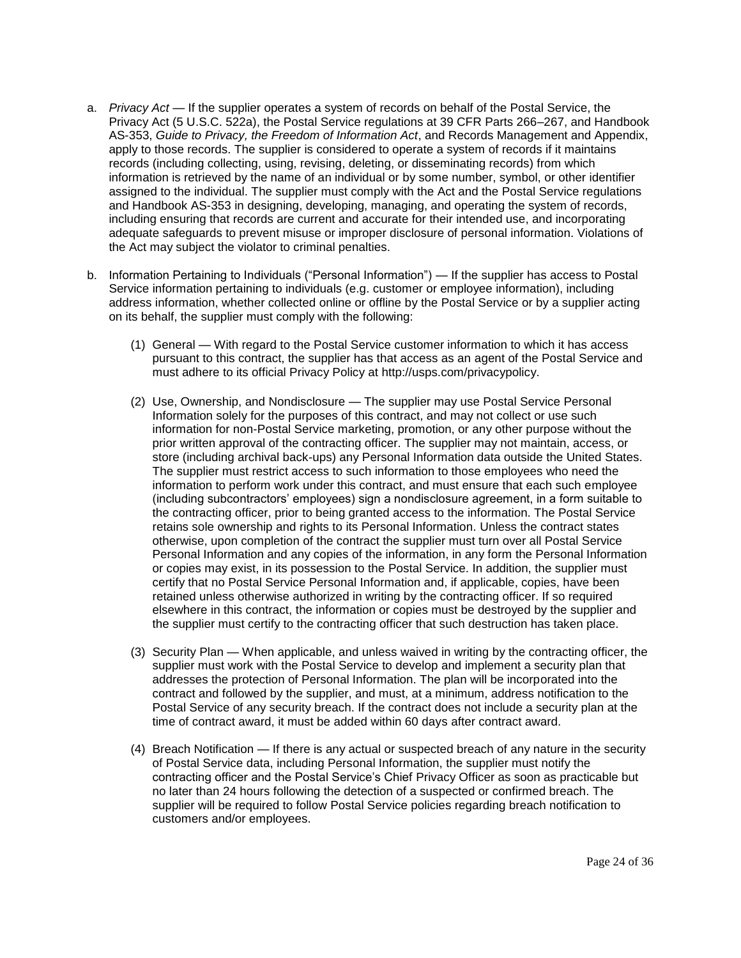- a. *Privacy Act* If the supplier operates a system of records on behalf of the Postal Service, the Privacy Act (5 U.S.C. 522a), the Postal Service regulations at 39 CFR Parts 266–267, and Handbook AS-353, *Guide to Privacy, the Freedom of Information Act*, and Records Management and Appendix, apply to those records. The supplier is considered to operate a system of records if it maintains records (including collecting, using, revising, deleting, or disseminating records) from which information is retrieved by the name of an individual or by some number, symbol, or other identifier assigned to the individual. The supplier must comply with the Act and the Postal Service regulations and Handbook AS-353 in designing, developing, managing, and operating the system of records, including ensuring that records are current and accurate for their intended use, and incorporating adequate safeguards to prevent misuse or improper disclosure of personal information. Violations of the Act may subject the violator to criminal penalties.
- b. Information Pertaining to Individuals ("Personal Information") If the supplier has access to Postal Service information pertaining to individuals (e.g. customer or employee information), including address information, whether collected online or offline by the Postal Service or by a supplier acting on its behalf, the supplier must comply with the following:
	- (1) General With regard to the Postal Service customer information to which it has access pursuant to this contract, the supplier has that access as an agent of the Postal Service and must adhere to its official Privacy Policy at [http://usps.com/privacypolicy.](http://usps.com/privacypolicy)
	- (2) Use, Ownership, and Nondisclosure The supplier may use Postal Service Personal Information solely for the purposes of this contract, and may not collect or use such information for non-Postal Service marketing, promotion, or any other purpose without the prior written approval of the contracting officer. The supplier may not maintain, access, or store (including archival back-ups) any Personal Information data outside the United States. The supplier must restrict access to such information to those employees who need the information to perform work under this contract, and must ensure that each such employee (including subcontractors' employees) sign a nondisclosure agreement, in a form suitable to the contracting officer, prior to being granted access to the information. The Postal Service retains sole ownership and rights to its Personal Information. Unless the contract states otherwise, upon completion of the contract the supplier must turn over all Postal Service Personal Information and any copies of the information, in any form the Personal Information or copies may exist, in its possession to the Postal Service. In addition, the supplier must certify that no Postal Service Personal Information and, if applicable, copies, have been retained unless otherwise authorized in writing by the contracting officer. If so required elsewhere in this contract, the information or copies must be destroyed by the supplier and the supplier must certify to the contracting officer that such destruction has taken place.
	- (3) Security Plan When applicable, and unless waived in writing by the contracting officer, the supplier must work with the Postal Service to develop and implement a security plan that addresses the protection of Personal Information. The plan will be incorporated into the contract and followed by the supplier, and must, at a minimum, address notification to the Postal Service of any security breach. If the contract does not include a security plan at the time of contract award, it must be added within 60 days after contract award.
	- (4) Breach Notification If there is any actual or suspected breach of any nature in the security of Postal Service data, including Personal Information, the supplier must notify the contracting officer and the Postal Service's Chief Privacy Officer as soon as practicable but no later than 24 hours following the detection of a suspected or confirmed breach. The supplier will be required to follow Postal Service policies regarding breach notification to customers and/or employees.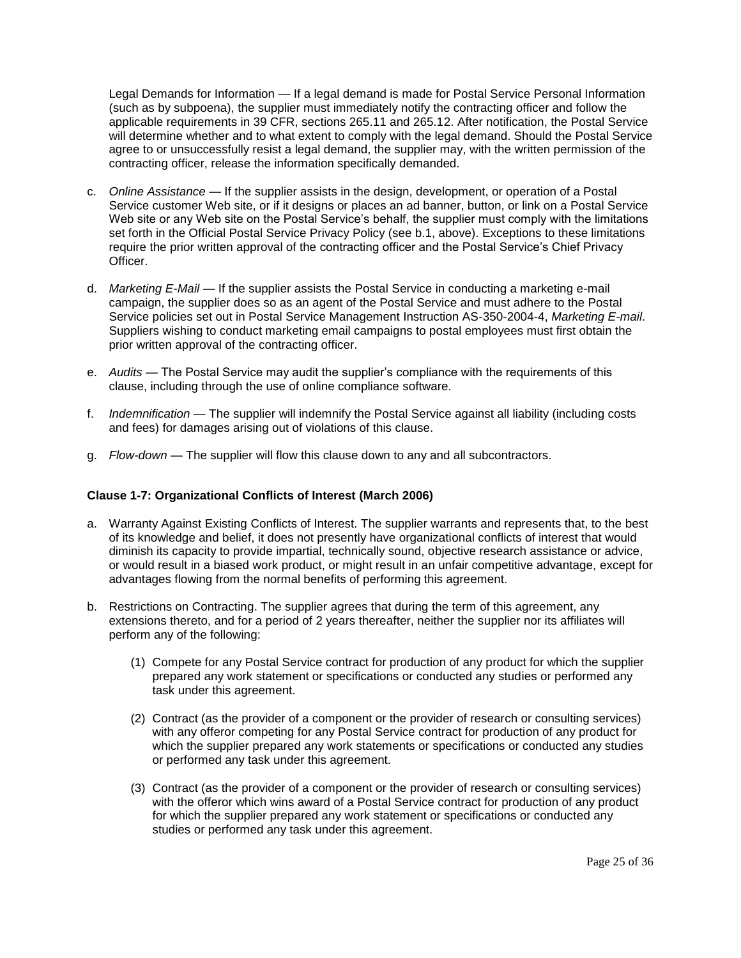Legal Demands for Information — If a legal demand is made for Postal Service Personal Information (such as by subpoena), the supplier must immediately notify the contracting officer and follow the applicable requirements in 39 CFR, sections 265.11 and 265.12. After notification, the Postal Service will determine whether and to what extent to comply with the legal demand. Should the Postal Service agree to or unsuccessfully resist a legal demand, the supplier may, with the written permission of the contracting officer, release the information specifically demanded.

- c. *Online Assistance* If the supplier assists in the design, development, or operation of a Postal Service customer Web site, or if it designs or places an ad banner, button, or link on a Postal Service Web site or any Web site on the Postal Service's behalf, the supplier must comply with the limitations set forth in the Official Postal Service Privacy Policy (see b.1, above). Exceptions to these limitations require the prior written approval of the contracting officer and the Postal Service's Chief Privacy Officer.
- d. *Marketing E-Mail* If the supplier assists the Postal Service in conducting a marketing e-mail campaign, the supplier does so as an agent of the Postal Service and must adhere to the Postal Service policies set out in Postal Service Management Instruction AS-350-2004-4, *Marketing E-mail*. Suppliers wishing to conduct marketing email campaigns to postal employees must first obtain the prior written approval of the contracting officer.
- e. *Audits* The Postal Service may audit the supplier's compliance with the requirements of this clause, including through the use of online compliance software.
- f. *Indemnification* The supplier will indemnify the Postal Service against all liability (including costs and fees) for damages arising out of violations of this clause.
- g. *Flow-down* The supplier will flow this clause down to any and all subcontractors.

# <span id="page-24-0"></span>**Clause 1-7: Organizational Conflicts of Interest (March 2006)**

- a. Warranty Against Existing Conflicts of Interest. The supplier warrants and represents that, to the best of its knowledge and belief, it does not presently have organizational conflicts of interest that would diminish its capacity to provide impartial, technically sound, objective research assistance or advice, or would result in a biased work product, or might result in an unfair competitive advantage, except for advantages flowing from the normal benefits of performing this agreement.
- b. Restrictions on Contracting. The supplier agrees that during the term of this agreement, any extensions thereto, and for a period of 2 years thereafter, neither the supplier nor its affiliates will perform any of the following:
	- (1) Compete for any Postal Service contract for production of any product for which the supplier prepared any work statement or specifications or conducted any studies or performed any task under this agreement.
	- (2) Contract (as the provider of a component or the provider of research or consulting services) with any offeror competing for any Postal Service contract for production of any product for which the supplier prepared any work statements or specifications or conducted any studies or performed any task under this agreement.
	- (3) Contract (as the provider of a component or the provider of research or consulting services) with the offeror which wins award of a Postal Service contract for production of any product for which the supplier prepared any work statement or specifications or conducted any studies or performed any task under this agreement.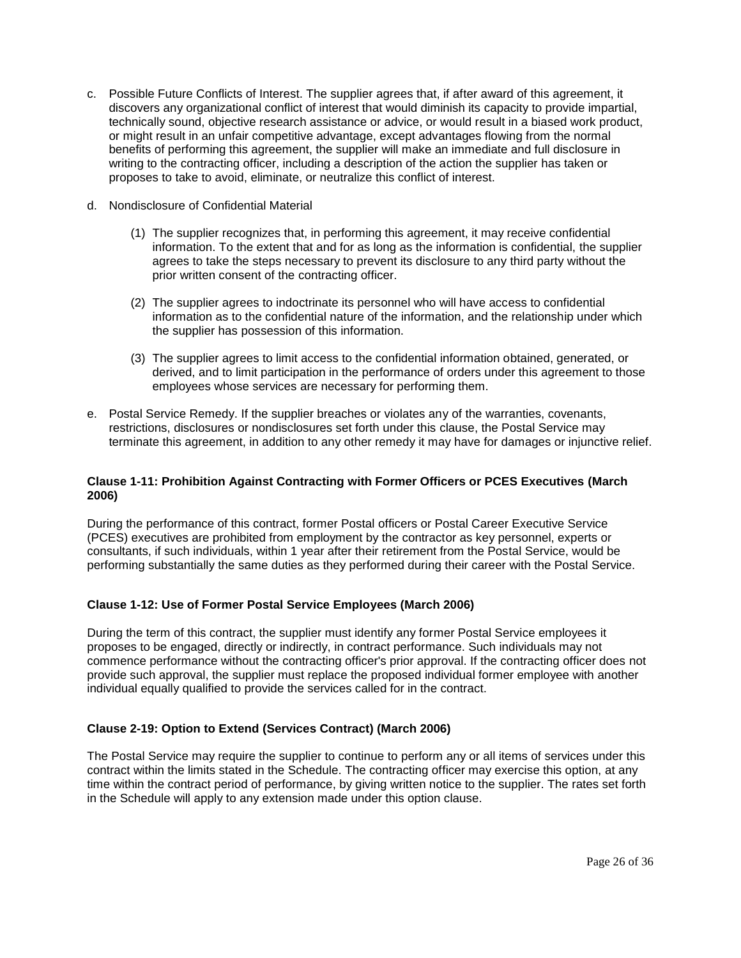- c. Possible Future Conflicts of Interest. The supplier agrees that, if after award of this agreement, it discovers any organizational conflict of interest that would diminish its capacity to provide impartial, technically sound, objective research assistance or advice, or would result in a biased work product, or might result in an unfair competitive advantage, except advantages flowing from the normal benefits of performing this agreement, the supplier will make an immediate and full disclosure in writing to the contracting officer, including a description of the action the supplier has taken or proposes to take to avoid, eliminate, or neutralize this conflict of interest.
- d. Nondisclosure of Confidential Material
	- (1) The supplier recognizes that, in performing this agreement, it may receive confidential information. To the extent that and for as long as the information is confidential, the supplier agrees to take the steps necessary to prevent its disclosure to any third party without the prior written consent of the contracting officer.
	- (2) The supplier agrees to indoctrinate its personnel who will have access to confidential information as to the confidential nature of the information, and the relationship under which the supplier has possession of this information.
	- (3) The supplier agrees to limit access to the confidential information obtained, generated, or derived, and to limit participation in the performance of orders under this agreement to those employees whose services are necessary for performing them.
- e. Postal Service Remedy. If the supplier breaches or violates any of the warranties, covenants, restrictions, disclosures or nondisclosures set forth under this clause, the Postal Service may terminate this agreement, in addition to any other remedy it may have for damages or injunctive relief.

# <span id="page-25-0"></span>**Clause 1-11: Prohibition Against Contracting with Former Officers or PCES Executives (March 2006)**

During the performance of this contract, former Postal officers or Postal Career Executive Service (PCES) executives are prohibited from employment by the contractor as key personnel, experts or consultants, if such individuals, within 1 year after their retirement from the Postal Service, would be performing substantially the same duties as they performed during their career with the Postal Service.

# <span id="page-25-1"></span>**Clause 1-12: Use of Former Postal Service Employees (March 2006)**

During the term of this contract, the supplier must identify any former Postal Service employees it proposes to be engaged, directly or indirectly, in contract performance. Such individuals may not commence performance without the contracting officer's prior approval. If the contracting officer does not provide such approval, the supplier must replace the proposed individual former employee with another individual equally qualified to provide the services called for in the contract.

# <span id="page-25-2"></span>**Clause 2-19: Option to Extend (Services Contract) (March 2006)**

The Postal Service may require the supplier to continue to perform any or all items of services under this contract within the limits stated in the Schedule. The contracting officer may exercise this option, at any time within the contract period of performance, by giving written notice to the supplier. The rates set forth in the Schedule will apply to any extension made under this option clause.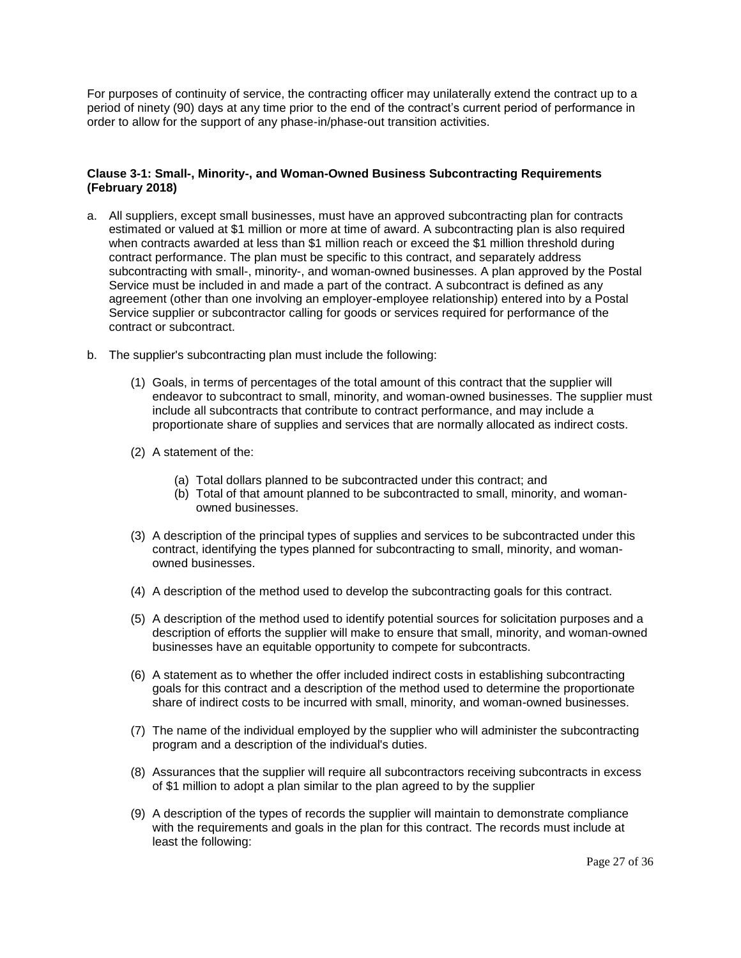For purposes of continuity of service, the contracting officer may unilaterally extend the contract up to a period of ninety (90) days at any time prior to the end of the contract's current period of performance in order to allow for the support of any phase-in/phase-out transition activities.

# <span id="page-26-0"></span>**Clause 3-1: Small-, Minority-, and Woman-Owned Business Subcontracting Requirements (February 2018)**

- a. All suppliers, except small businesses, must have an approved subcontracting plan for contracts estimated or valued at \$1 million or more at time of award. A subcontracting plan is also required when contracts awarded at less than \$1 million reach or exceed the \$1 million threshold during contract performance. The plan must be specific to this contract, and separately address subcontracting with small-, minority-, and woman-owned businesses. A plan approved by the Postal Service must be included in and made a part of the contract. A subcontract is defined as any agreement (other than one involving an employer-employee relationship) entered into by a Postal Service supplier or subcontractor calling for goods or services required for performance of the contract or subcontract.
- b. The supplier's subcontracting plan must include the following:
	- (1) Goals, in terms of percentages of the total amount of this contract that the supplier will endeavor to subcontract to small, minority, and woman-owned businesses. The supplier must include all subcontracts that contribute to contract performance, and may include a proportionate share of supplies and services that are normally allocated as indirect costs.
	- (2) A statement of the:
		- (a) Total dollars planned to be subcontracted under this contract; and
		- (b) Total of that amount planned to be subcontracted to small, minority, and womanowned businesses.
	- (3) A description of the principal types of supplies and services to be subcontracted under this contract, identifying the types planned for subcontracting to small, minority, and womanowned businesses.
	- (4) A description of the method used to develop the subcontracting goals for this contract.
	- (5) A description of the method used to identify potential sources for solicitation purposes and a description of efforts the supplier will make to ensure that small, minority, and woman-owned businesses have an equitable opportunity to compete for subcontracts.
	- (6) A statement as to whether the offer included indirect costs in establishing subcontracting goals for this contract and a description of the method used to determine the proportionate share of indirect costs to be incurred with small, minority, and woman-owned businesses.
	- (7) The name of the individual employed by the supplier who will administer the subcontracting program and a description of the individual's duties.
	- (8) Assurances that the supplier will require all subcontractors receiving subcontracts in excess of \$1 million to adopt a plan similar to the plan agreed to by the supplier
	- (9) A description of the types of records the supplier will maintain to demonstrate compliance with the requirements and goals in the plan for this contract. The records must include at least the following: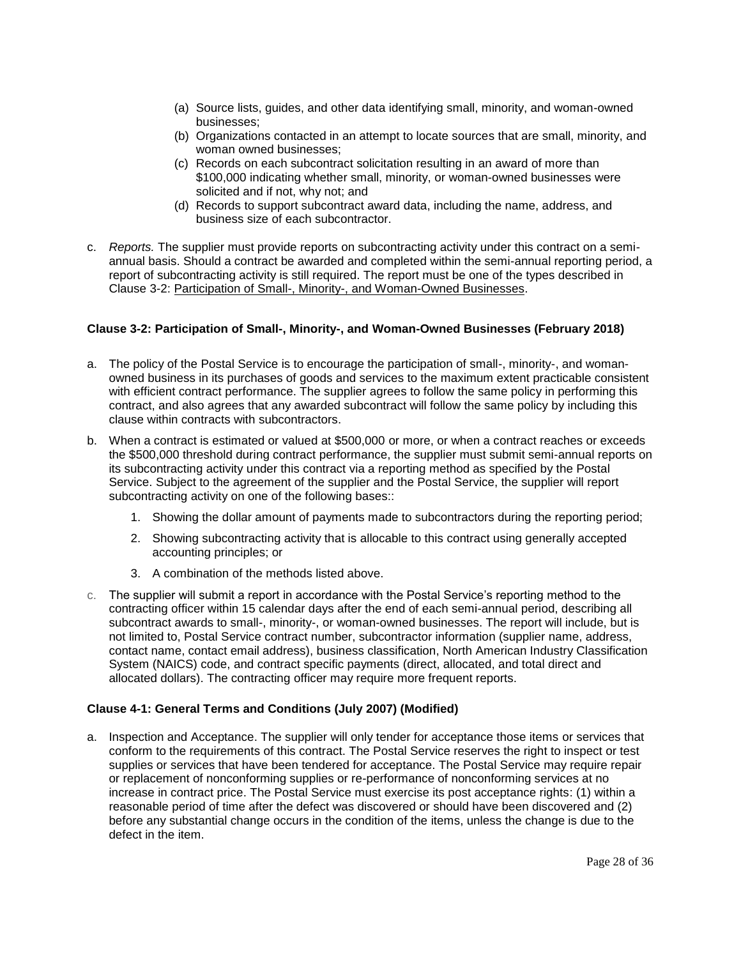- (a) Source lists, guides, and other data identifying small, minority, and woman-owned businesses;
- (b) Organizations contacted in an attempt to locate sources that are small, minority, and woman owned businesses;
- (c) Records on each subcontract solicitation resulting in an award of more than \$100,000 indicating whether small, minority, or woman-owned businesses were solicited and if not, why not; and
- (d) Records to support subcontract award data, including the name, address, and business size of each subcontractor.
- c. *Reports.* The supplier must provide reports on subcontracting activity under this contract on a semiannual basis. Should a contract be awarded and completed within the semi-annual reporting period, a report of subcontracting activity is still required. The report must be one of the types described in Clause 3-2: Participation of Small-, Minority-, and Woman-Owned Businesses.

# <span id="page-27-0"></span>**Clause 3-2: Participation of Small-, Minority-, and Woman-Owned Businesses (February 2018)**

- a. The policy of the Postal Service is to encourage the participation of small-, minority-, and womanowned business in its purchases of goods and services to the maximum extent practicable consistent with efficient contract performance. The supplier agrees to follow the same policy in performing this contract, and also agrees that any awarded subcontract will follow the same policy by including this clause within contracts with subcontractors.
- b. When a contract is estimated or valued at \$500,000 or more, or when a contract reaches or exceeds the \$500,000 threshold during contract performance, the supplier must submit semi-annual reports on its subcontracting activity under this contract via a reporting method as specified by the Postal Service. Subject to the agreement of the supplier and the Postal Service, the supplier will report subcontracting activity on one of the following bases::
	- 1. Showing the dollar amount of payments made to subcontractors during the reporting period;
	- 2. Showing subcontracting activity that is allocable to this contract using generally accepted accounting principles; or
	- 3. A combination of the methods listed above.
- c. The supplier will submit a report in accordance with the Postal Service's reporting method to the contracting officer within 15 calendar days after the end of each semi-annual period, describing all subcontract awards to small-, minority-, or woman-owned businesses. The report will include, but is not limited to, Postal Service contract number, subcontractor information (supplier name, address, contact name, contact email address), business classification, North American Industry Classification System (NAICS) code, and contract specific payments (direct, allocated, and total direct and allocated dollars). The contracting officer may require more frequent reports.

# <span id="page-27-1"></span>**Clause 4-1: General Terms and Conditions (July 2007) (Modified)**

a. Inspection and Acceptance. The supplier will only tender for acceptance those items or services that conform to the requirements of this contract. The Postal Service reserves the right to inspect or test supplies or services that have been tendered for acceptance. The Postal Service may require repair or replacement of nonconforming supplies or re-performance of nonconforming services at no increase in contract price. The Postal Service must exercise its post acceptance rights: (1) within a reasonable period of time after the defect was discovered or should have been discovered and (2) before any substantial change occurs in the condition of the items, unless the change is due to the defect in the item.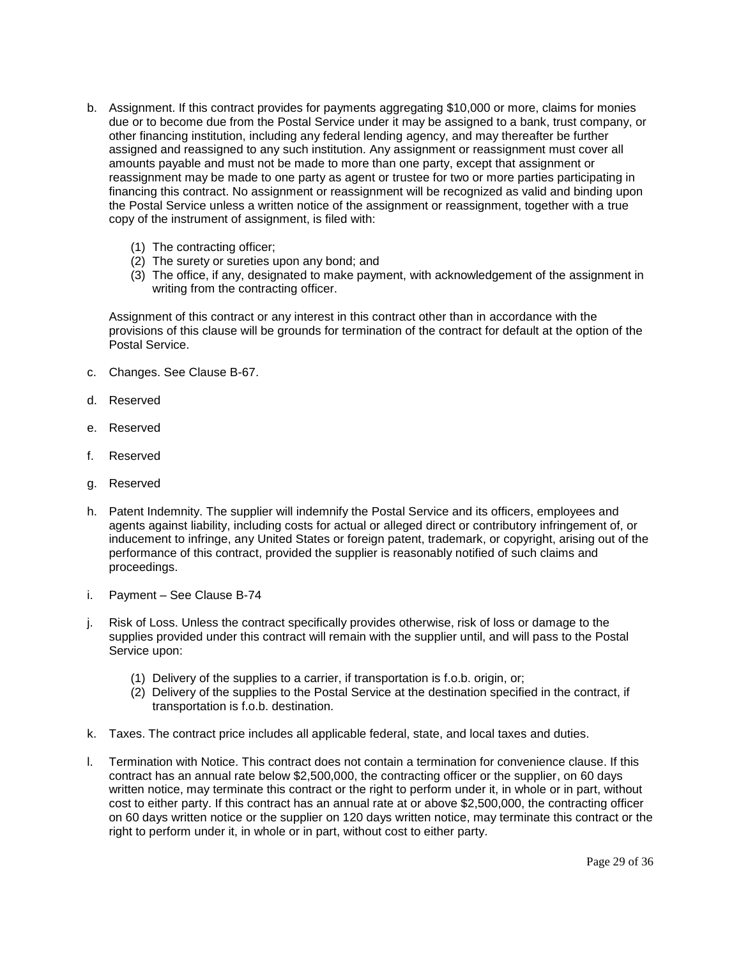- b. Assignment. If this contract provides for payments aggregating \$10,000 or more, claims for monies due or to become due from the Postal Service under it may be assigned to a bank, trust company, or other financing institution, including any federal lending agency, and may thereafter be further assigned and reassigned to any such institution. Any assignment or reassignment must cover all amounts payable and must not be made to more than one party, except that assignment or reassignment may be made to one party as agent or trustee for two or more parties participating in financing this contract. No assignment or reassignment will be recognized as valid and binding upon the Postal Service unless a written notice of the assignment or reassignment, together with a true copy of the instrument of assignment, is filed with:
	- (1) The contracting officer;
	- (2) The surety or sureties upon any bond; and
	- (3) The office, if any, designated to make payment, with acknowledgement of the assignment in writing from the contracting officer.

Assignment of this contract or any interest in this contract other than in accordance with the provisions of this clause will be grounds for termination of the contract for default at the option of the Postal Service.

- c. Changes. See Clause B-67.
- d. Reserved
- e. Reserved
- f. Reserved
- g. Reserved
- h. Patent Indemnity. The supplier will indemnify the Postal Service and its officers, employees and agents against liability, including costs for actual or alleged direct or contributory infringement of, or inducement to infringe, any United States or foreign patent, trademark, or copyright, arising out of the performance of this contract, provided the supplier is reasonably notified of such claims and proceedings.
- i. Payment See Clause B-74
- j. Risk of Loss. Unless the contract specifically provides otherwise, risk of loss or damage to the supplies provided under this contract will remain with the supplier until, and will pass to the Postal Service upon:
	- (1) Delivery of the supplies to a carrier, if transportation is f.o.b. origin, or;
	- (2) Delivery of the supplies to the Postal Service at the destination specified in the contract, if transportation is f.o.b. destination.
- k. Taxes. The contract price includes all applicable federal, state, and local taxes and duties.
- l. Termination with Notice. This contract does not contain a termination for convenience clause. If this contract has an annual rate below \$2,500,000, the contracting officer or the supplier, on 60 days written notice, may terminate this contract or the right to perform under it, in whole or in part, without cost to either party. If this contract has an annual rate at or above \$2,500,000, the contracting officer on 60 days written notice or the supplier on 120 days written notice, may terminate this contract or the right to perform under it, in whole or in part, without cost to either party.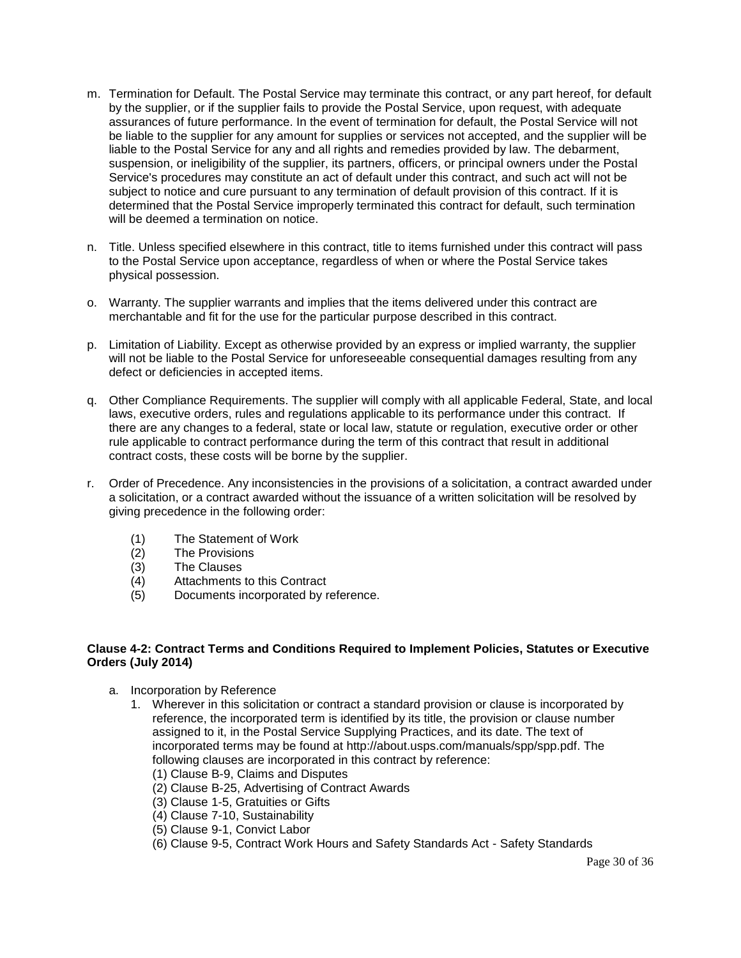- m. Termination for Default. The Postal Service may terminate this contract, or any part hereof, for default by the supplier, or if the supplier fails to provide the Postal Service, upon request, with adequate assurances of future performance. In the event of termination for default, the Postal Service will not be liable to the supplier for any amount for supplies or services not accepted, and the supplier will be liable to the Postal Service for any and all rights and remedies provided by law. The debarment, suspension, or ineligibility of the supplier, its partners, officers, or principal owners under the Postal Service's procedures may constitute an act of default under this contract, and such act will not be subject to notice and cure pursuant to any termination of default provision of this contract. If it is determined that the Postal Service improperly terminated this contract for default, such termination will be deemed a termination on notice.
- n. Title. Unless specified elsewhere in this contract, title to items furnished under this contract will pass to the Postal Service upon acceptance, regardless of when or where the Postal Service takes physical possession.
- o. Warranty. The supplier warrants and implies that the items delivered under this contract are merchantable and fit for the use for the particular purpose described in this contract.
- p. Limitation of Liability. Except as otherwise provided by an express or implied warranty, the supplier will not be liable to the Postal Service for unforeseeable consequential damages resulting from any defect or deficiencies in accepted items.
- q. Other Compliance Requirements. The supplier will comply with all applicable Federal, State, and local laws, executive orders, rules and regulations applicable to its performance under this contract. If there are any changes to a federal, state or local law, statute or regulation, executive order or other rule applicable to contract performance during the term of this contract that result in additional contract costs, these costs will be borne by the supplier.
- r. Order of Precedence. Any inconsistencies in the provisions of a solicitation, a contract awarded under a solicitation, or a contract awarded without the issuance of a written solicitation will be resolved by giving precedence in the following order:
	- (1) The Statement of Work<br>(2) The Provisions
	- The Provisions
	- (3) The Clauses
	- (4) Attachments to this Contract
	- (5) Documents incorporated by reference.

### <span id="page-29-0"></span>**Clause 4-2: Contract Terms and Conditions Required to Implement Policies, Statutes or Executive Orders (July 2014)**

- <span id="page-29-1"></span>a. Incorporation by Reference
	- 1. Wherever in this solicitation or contract a standard provision or clause is incorporated by reference, the incorporated term is identified by its title, the provision or clause number assigned to it, in the Postal Service Supplying Practices, and its date. The text of incorporated terms may be found at http://about.usps.com/manuals/spp/spp.pdf. The following clauses are incorporated in this contract by reference:
		- (1) Clause B-9, Claims and Disputes
		- (2) Clause B-25, Advertising of Contract Awards
		- (3) Clause 1-5, Gratuities or Gifts
		- (4) Clause 7-10, Sustainability
		- (5) Clause 9-1, Convict Labor
		- (6) Clause 9-5, Contract Work Hours and Safety Standards Act Safety Standards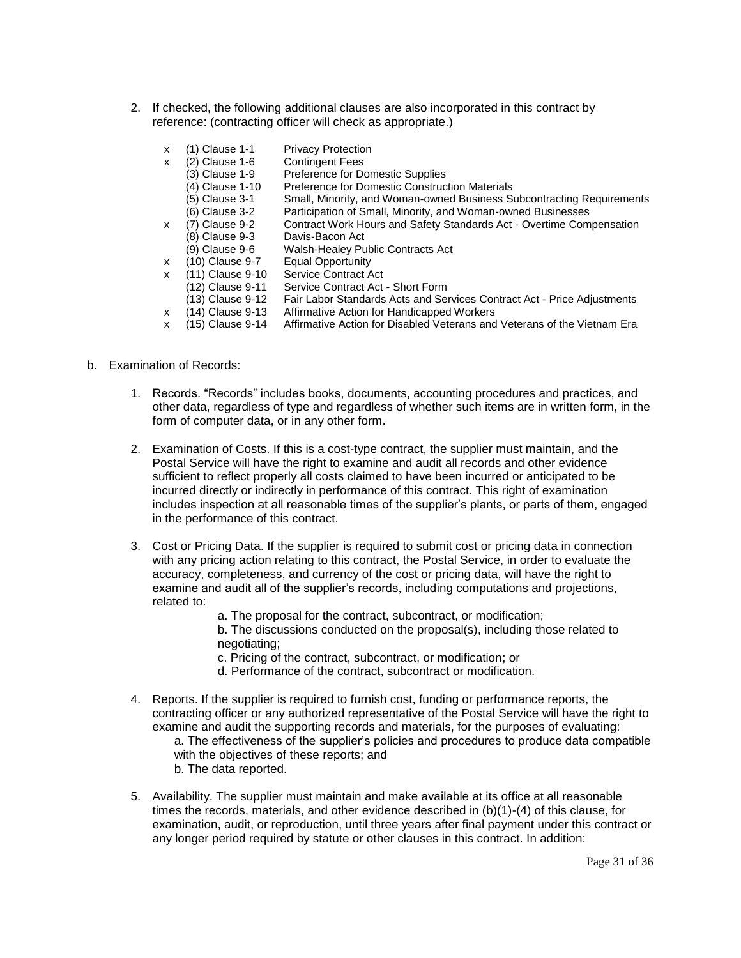2. If checked, the following additional clauses are also incorporated in this contract by reference: (contracting officer will check as appropriate.)

| x | (1) Clause 1-1   | <b>Privacy Protection</b>                                               |
|---|------------------|-------------------------------------------------------------------------|
| x | (2) Clause 1-6   | <b>Contingent Fees</b>                                                  |
|   | (3) Clause 1-9   | Preference for Domestic Supplies                                        |
|   | (4) Clause 1-10  | <b>Preference for Domestic Construction Materials</b>                   |
|   | (5) Clause 3-1   | Small, Minority, and Woman-owned Business Subcontracting Requirements   |
|   | (6) Clause 3-2   | Participation of Small, Minority, and Woman-owned Businesses            |
| x | (7) Clause 9-2   | Contract Work Hours and Safety Standards Act - Overtime Compensation    |
|   | (8) Clause 9-3   | Davis-Bacon Act                                                         |
|   | (9) Clause 9-6   | Walsh-Healey Public Contracts Act                                       |
| x | (10) Clause 9-7  | Equal Opportunity                                                       |
| x | (11) Clause 9-10 | <b>Service Contract Act</b>                                             |
|   | (12) Clause 9-11 | Service Contract Act - Short Form                                       |
|   | (13) Clause 9-12 | Fair Labor Standards Acts and Services Contract Act - Price Adjustments |

- x (14) Clause 9-13 Affirmative Action for Handicapped Workers
- x (15) Clause 9-14 Affirmative Action for Disabled Veterans and Veterans of the Vietnam Era
- b. Examination of Records:
	- 1. Records. "Records" includes books, documents, accounting procedures and practices, and other data, regardless of type and regardless of whether such items are in written form, in the form of computer data, or in any other form.
	- 2. Examination of Costs. If this is a cost-type contract, the supplier must maintain, and the Postal Service will have the right to examine and audit all records and other evidence sufficient to reflect properly all costs claimed to have been incurred or anticipated to be incurred directly or indirectly in performance of this contract. This right of examination includes inspection at all reasonable times of the supplier's plants, or parts of them, engaged in the performance of this contract.
	- 3. Cost or Pricing Data. If the supplier is required to submit cost or pricing data in connection with any pricing action relating to this contract, the Postal Service, in order to evaluate the accuracy, completeness, and currency of the cost or pricing data, will have the right to examine and audit all of the supplier's records, including computations and projections, related to:
		- a. The proposal for the contract, subcontract, or modification;
		- b. The discussions conducted on the proposal(s), including those related to negotiating;
		- c. Pricing of the contract, subcontract, or modification; or
		- d. Performance of the contract, subcontract or modification.
	- 4. Reports. If the supplier is required to furnish cost, funding or performance reports, the contracting officer or any authorized representative of the Postal Service will have the right to examine and audit the supporting records and materials, for the purposes of evaluating: a. The effectiveness of the supplier's policies and procedures to produce data compatible with the objectives of these reports; and b. The data reported.
	- 5. Availability. The supplier must maintain and make available at its office at all reasonable times the records, materials, and other evidence described in (b)(1)-(4) of this clause, for examination, audit, or reproduction, until three years after final payment under this contract or any longer period required by statute or other clauses in this contract. In addition: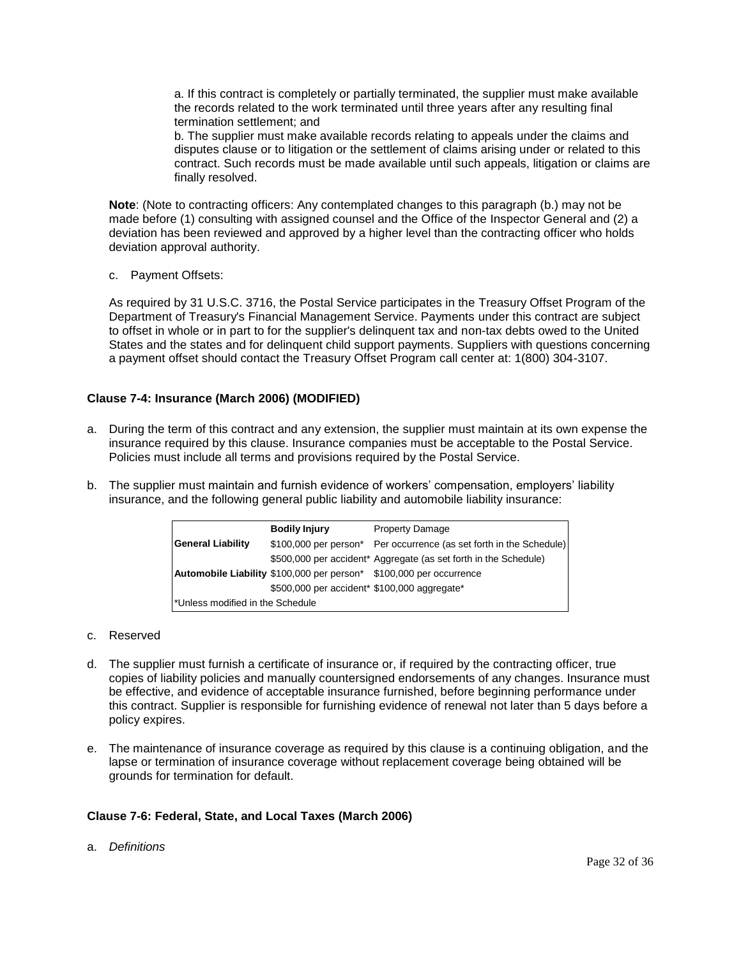a. If this contract is completely or partially terminated, the supplier must make available the records related to the work terminated until three years after any resulting final termination settlement; and

b. The supplier must make available records relating to appeals under the claims and disputes clause or to litigation or the settlement of claims arising under or related to this contract. Such records must be made available until such appeals, litigation or claims are finally resolved.

**Note**: (Note to contracting officers: Any contemplated changes to this paragraph (b.) may not be made before (1) consulting with assigned counsel and the Office of the Inspector General and (2) a deviation has been reviewed and approved by a higher level than the contracting officer who holds deviation approval authority.

c. Payment Offsets:

As required by 31 U.S.C. 3716, the Postal Service participates in the Treasury Offset Program of the Department of Treasury's Financial Management Service. Payments under this contract are subject to offset in whole or in part to for the supplier's delinquent tax and non-tax debts owed to the United States and the states and for delinquent child support payments. Suppliers with questions concerning a payment offset should contact the Treasury Offset Program call center at: 1(800) 304-3107.

# <span id="page-31-0"></span>**Clause 7-4: Insurance (March 2006) (MODIFIED)**

- a. During the term of this contract and any extension, the supplier must maintain at its own expense the insurance required by this clause. Insurance companies must be acceptable to the Postal Service. Policies must include all terms and provisions required by the Postal Service.
- b. The supplier must maintain and furnish evidence of workers' compensation, employers' liability insurance, and the following general public liability and automobile liability insurance:

|                                  | <b>Bodily Injury</b>                         | <b>Property Damage</b>                                              |
|----------------------------------|----------------------------------------------|---------------------------------------------------------------------|
| <b>General Liability</b>         |                                              | \$100,000 per person* Per occurrence (as set forth in the Schedule) |
|                                  |                                              | \$500,000 per accident* Aggregate (as set forth in the Schedule)    |
|                                  |                                              | Automobile Liability \$100,000 per person* \$100,000 per occurrence |
|                                  | \$500,000 per accident* \$100,000 aggregate* |                                                                     |
| *Unless modified in the Schedule |                                              |                                                                     |

### c. Reserved

- d. The supplier must furnish a certificate of insurance or, if required by the contracting officer, true copies of liability policies and manually countersigned endorsements of any changes. Insurance must be effective, and evidence of acceptable insurance furnished, before beginning performance under this contract. Supplier is responsible for furnishing evidence of renewal not later than 5 days before a policy expires.
- e. The maintenance of insurance coverage as required by this clause is a continuing obligation, and the lapse or termination of insurance coverage without replacement coverage being obtained will be grounds for termination for default.

### <span id="page-31-1"></span>**Clause 7-6: Federal, State, and Local Taxes (March 2006)**

a. *Definitions*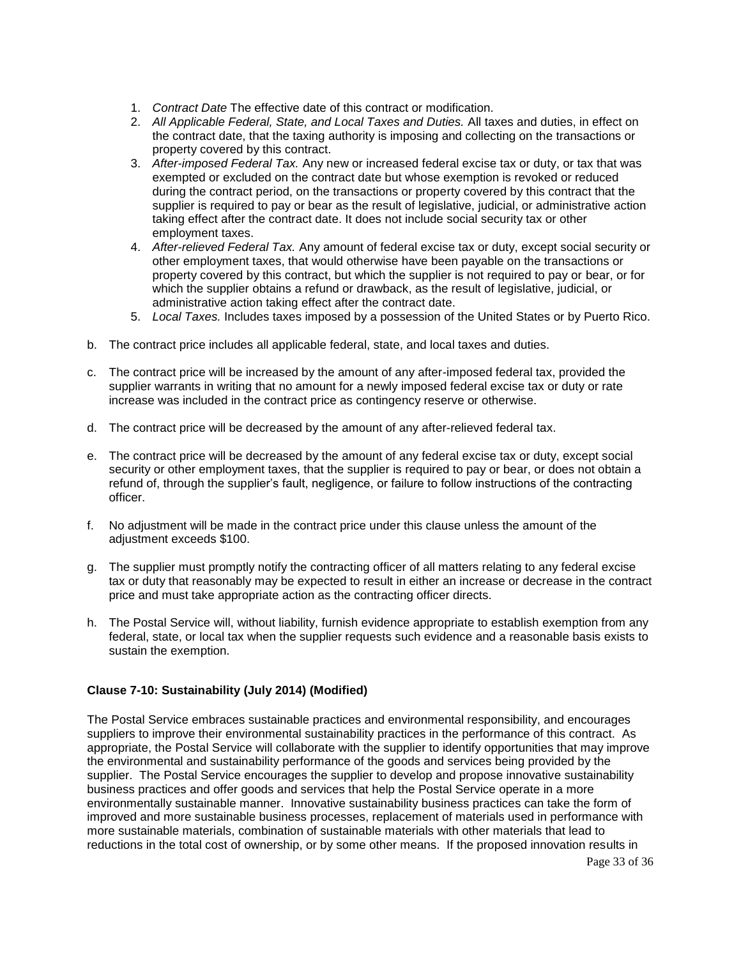- 1. *Contract Date* The effective date of this contract or modification.
- 2. *All Applicable Federal, State, and Local Taxes and Duties.* All taxes and duties, in effect on the contract date, that the taxing authority is imposing and collecting on the transactions or property covered by this contract.
- 3. *After-imposed Federal Tax.* Any new or increased federal excise tax or duty, or tax that was exempted or excluded on the contract date but whose exemption is revoked or reduced during the contract period, on the transactions or property covered by this contract that the supplier is required to pay or bear as the result of legislative, judicial, or administrative action taking effect after the contract date. It does not include social security tax or other employment taxes.
- 4. *After-relieved Federal Tax.* Any amount of federal excise tax or duty, except social security or other employment taxes, that would otherwise have been payable on the transactions or property covered by this contract, but which the supplier is not required to pay or bear, or for which the supplier obtains a refund or drawback, as the result of legislative, judicial, or administrative action taking effect after the contract date.
- 5. *Local Taxes.* Includes taxes imposed by a possession of the United States or by Puerto Rico.
- b. The contract price includes all applicable federal, state, and local taxes and duties.
- c. The contract price will be increased by the amount of any after-imposed federal tax, provided the supplier warrants in writing that no amount for a newly imposed federal excise tax or duty or rate increase was included in the contract price as contingency reserve or otherwise.
- d. The contract price will be decreased by the amount of any after-relieved federal tax.
- e. The contract price will be decreased by the amount of any federal excise tax or duty, except social security or other employment taxes, that the supplier is required to pay or bear, or does not obtain a refund of, through the supplier's fault, negligence, or failure to follow instructions of the contracting officer.
- f. No adjustment will be made in the contract price under this clause unless the amount of the adjustment exceeds \$100.
- g. The supplier must promptly notify the contracting officer of all matters relating to any federal excise tax or duty that reasonably may be expected to result in either an increase or decrease in the contract price and must take appropriate action as the contracting officer directs.
- h. The Postal Service will, without liability, furnish evidence appropriate to establish exemption from any federal, state, or local tax when the supplier requests such evidence and a reasonable basis exists to sustain the exemption.

### <span id="page-32-0"></span>**Clause 7-10: Sustainability (July 2014) (Modified)**

The Postal Service embraces sustainable practices and environmental responsibility, and encourages suppliers to improve their environmental sustainability practices in the performance of this contract. As appropriate, the Postal Service will collaborate with the supplier to identify opportunities that may improve the environmental and sustainability performance of the goods and services being provided by the supplier. The Postal Service encourages the supplier to develop and propose innovative sustainability business practices and offer goods and services that help the Postal Service operate in a more environmentally sustainable manner. Innovative sustainability business practices can take the form of improved and more sustainable business processes, replacement of materials used in performance with more sustainable materials, combination of sustainable materials with other materials that lead to reductions in the total cost of ownership, or by some other means. If the proposed innovation results in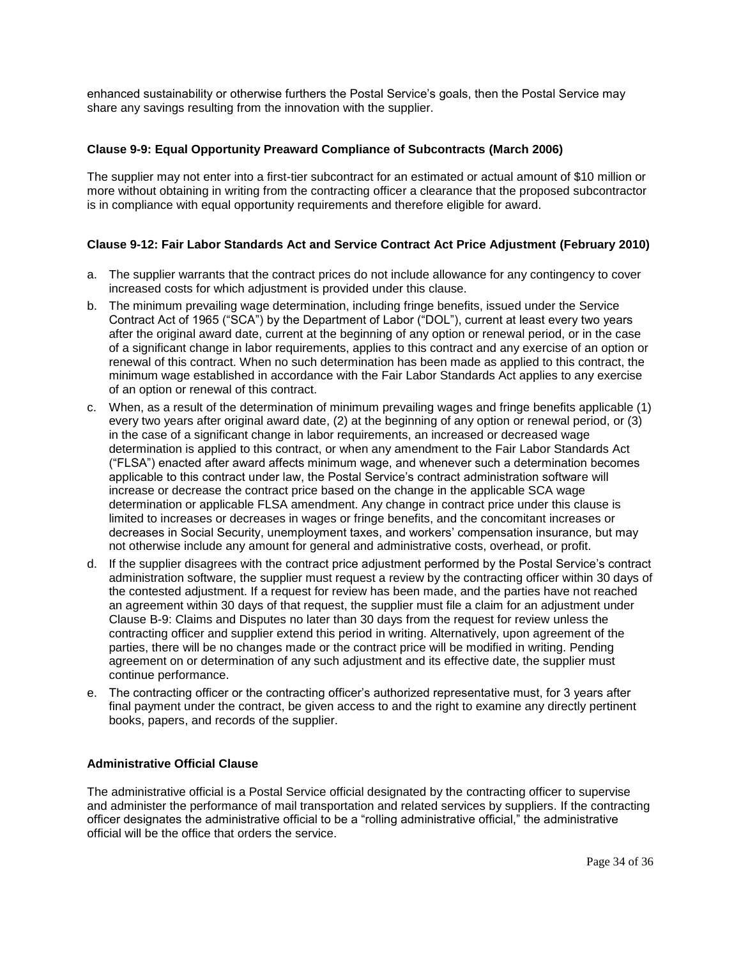enhanced sustainability or otherwise furthers the Postal Service's goals, then the Postal Service may share any savings resulting from the innovation with the supplier.

# <span id="page-33-0"></span>**Clause 9-9: Equal Opportunity Preaward Compliance of Subcontracts (March 2006)**

The supplier may not enter into a first-tier subcontract for an estimated or actual amount of \$10 million or more without obtaining in writing from the contracting officer a clearance that the proposed subcontractor is in compliance with equal opportunity requirements and therefore eligible for award.

# <span id="page-33-1"></span>**Clause 9-12: Fair Labor Standards Act and Service Contract Act Price Adjustment (February 2010)**

- a. The supplier warrants that the contract prices do not include allowance for any contingency to cover increased costs for which adjustment is provided under this clause.
- b. The minimum prevailing wage determination, including fringe benefits, issued under the Service Contract Act of 1965 ("SCA") by the Department of Labor ("DOL"), current at least every two years after the original award date, current at the beginning of any option or renewal period, or in the case of a significant change in labor requirements, applies to this contract and any exercise of an option or renewal of this contract. When no such determination has been made as applied to this contract, the minimum wage established in accordance with the Fair Labor Standards Act applies to any exercise of an option or renewal of this contract.
- c. When, as a result of the determination of minimum prevailing wages and fringe benefits applicable (1) every two years after original award date, (2) at the beginning of any option or renewal period, or (3) in the case of a significant change in labor requirements, an increased or decreased wage determination is applied to this contract, or when any amendment to the Fair Labor Standards Act ("FLSA") enacted after award affects minimum wage, and whenever such a determination becomes applicable to this contract under law, the Postal Service's contract administration software will increase or decrease the contract price based on the change in the applicable SCA wage determination or applicable FLSA amendment. Any change in contract price under this clause is limited to increases or decreases in wages or fringe benefits, and the concomitant increases or decreases in Social Security, unemployment taxes, and workers' compensation insurance, but may not otherwise include any amount for general and administrative costs, overhead, or profit.
- d. If the supplier disagrees with the contract price adjustment performed by the Postal Service's contract administration software, the supplier must request a review by the contracting officer within 30 days of the contested adjustment. If a request for review has been made, and the parties have not reached an agreement within 30 days of that request, the supplier must file a claim for an adjustment under Clause B-9: Claims and Disputes no later than 30 days from the request for review unless the contracting officer and supplier extend this period in writing. Alternatively, upon agreement of the parties, there will be no changes made or the contract price will be modified in writing. Pending agreement on or determination of any such adjustment and its effective date, the supplier must continue performance.
- e. The contracting officer or the contracting officer's authorized representative must, for 3 years after final payment under the contract, be given access to and the right to examine any directly pertinent books, papers, and records of the supplier.

# <span id="page-33-2"></span>**Administrative Official Clause**

The administrative official is a Postal Service official designated by the contracting officer to supervise and administer the performance of mail transportation and related services by suppliers. If the contracting officer designates the administrative official to be a "rolling administrative official," the administrative official will be the office that orders the service.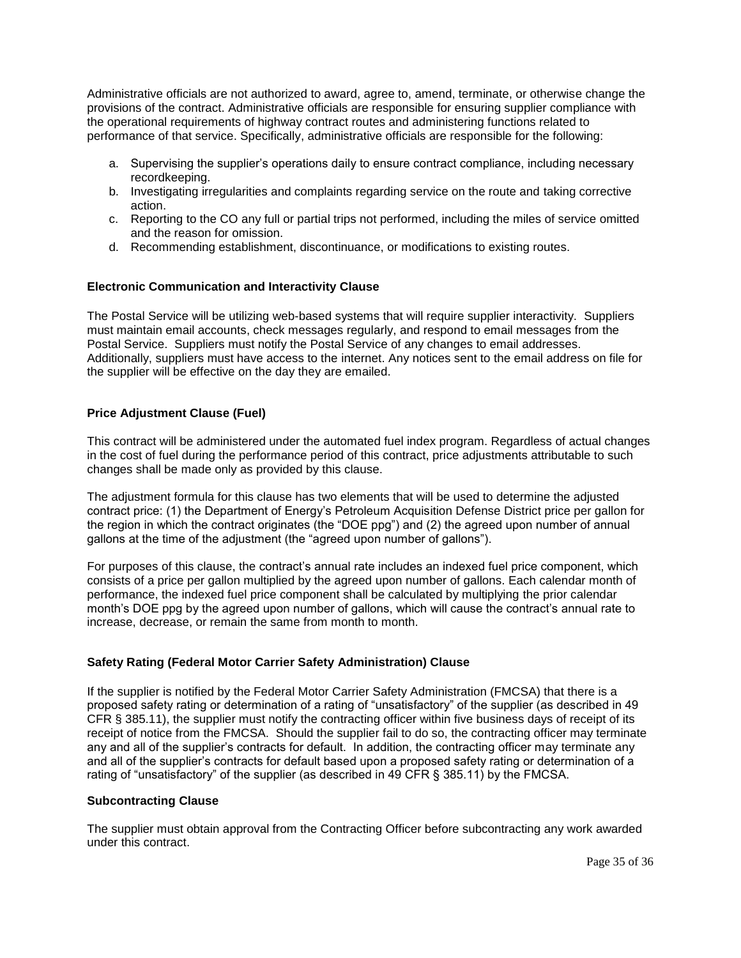Administrative officials are not authorized to award, agree to, amend, terminate, or otherwise change the provisions of the contract. Administrative officials are responsible for ensuring supplier compliance with the operational requirements of highway contract routes and administering functions related to performance of that service. Specifically, administrative officials are responsible for the following:

- a. Supervising the supplier's operations daily to ensure contract compliance, including necessary recordkeeping.
- b. Investigating irregularities and complaints regarding service on the route and taking corrective action.
- c. Reporting to the CO any full or partial trips not performed, including the miles of service omitted and the reason for omission.
- d. Recommending establishment, discontinuance, or modifications to existing routes.

# <span id="page-34-0"></span>**Electronic Communication and Interactivity Clause**

The Postal Service will be utilizing web-based systems that will require supplier interactivity. Suppliers must maintain email accounts, check messages regularly, and respond to email messages from the Postal Service. Suppliers must notify the Postal Service of any changes to email addresses. Additionally, suppliers must have access to the internet. Any notices sent to the email address on file for the supplier will be effective on the day they are emailed.

# **Price Adjustment Clause (Fuel)**

This contract will be administered under the automated fuel index program. Regardless of actual changes in the cost of fuel during the performance period of this contract, price adjustments attributable to such changes shall be made only as provided by this clause.

The adjustment formula for this clause has two elements that will be used to determine the adjusted contract price: (1) the Department of Energy's Petroleum Acquisition Defense District price per gallon for the region in which the contract originates (the "DOE ppg") and (2) the agreed upon number of annual gallons at the time of the adjustment (the "agreed upon number of gallons").

For purposes of this clause, the contract's annual rate includes an indexed fuel price component, which consists of a price per gallon multiplied by the agreed upon number of gallons. Each calendar month of performance, the indexed fuel price component shall be calculated by multiplying the prior calendar month's DOE ppg by the agreed upon number of gallons, which will cause the contract's annual rate to increase, decrease, or remain the same from month to month.

# <span id="page-34-1"></span>**Safety Rating (Federal Motor Carrier Safety Administration) Clause**

If the supplier is notified by the Federal Motor Carrier Safety Administration (FMCSA) that there is a proposed safety rating or determination of a rating of "unsatisfactory" of the supplier (as described in 49 CFR § 385.11), the supplier must notify the contracting officer within five business days of receipt of its receipt of notice from the FMCSA. Should the supplier fail to do so, the contracting officer may terminate any and all of the supplier's contracts for default. In addition, the contracting officer may terminate any and all of the supplier's contracts for default based upon a proposed safety rating or determination of a rating of "unsatisfactory" of the supplier (as described in 49 CFR § 385.11) by the FMCSA.

### <span id="page-34-2"></span>**Subcontracting Clause**

The supplier must obtain approval from the Contracting Officer before subcontracting any work awarded under this contract.